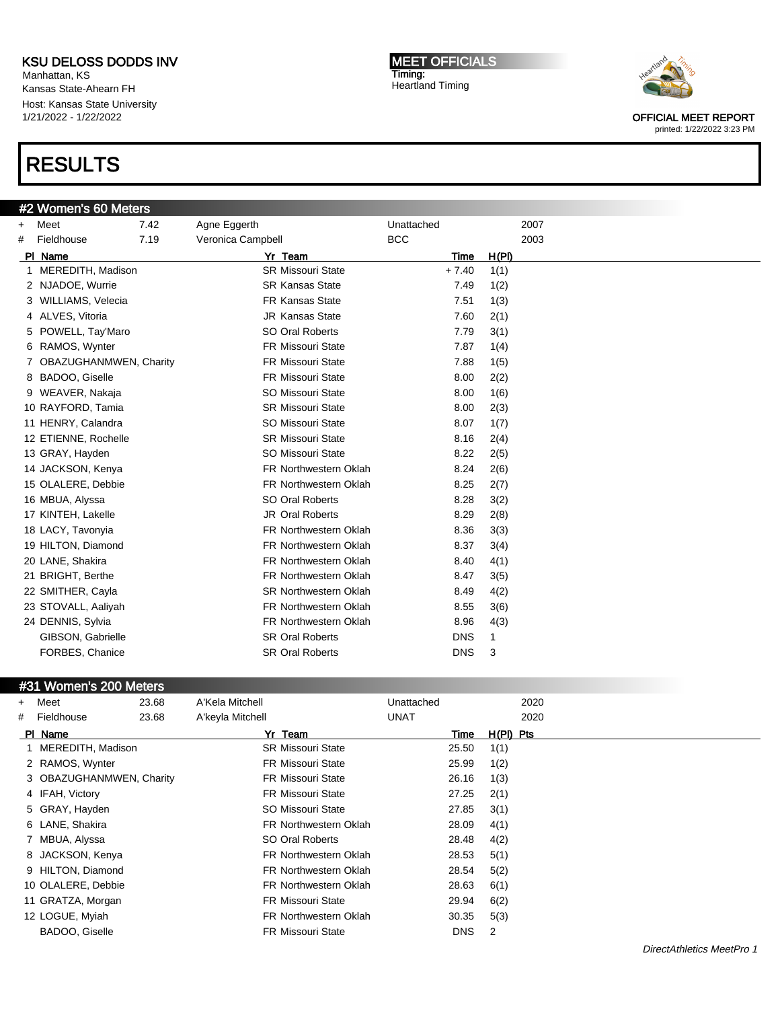Manhattan, KS Kansas State-Ahearn FH Host: Kansas State University 1/21/2022 - 1/22/2022

### RESULTS

#### #2 Women's 60 Meters

+ Meet 7.42 Agne Eggerth Unattached 2007 # Fieldhouse 7.19 Veronica Campbell BCC 2003 Pl Name Yr Team Time H(Pl) 1 MEREDITH, Madison SR Missouri State + 7.40 1(1) 2 NJADOE, Wurrie SR Kansas State 7.49 1(2) 3 WILLIAMS, Velecia FR Kansas State 7.51 1(3) 4 ALVES, Vitoria JR Kansas State 7.60 2(1) 5 POWELL, Tay'Maro SO Oral Roberts 7.79 3(1) 6 RAMOS, Wynter FR Missouri State 7.87 1(4) 7 OBAZUGHANMWEN, Charity FR Missouri State 7.88 1(5) 8 BADOO, Giselle FR Missouri State 8.00 2(2) 9 WEAVER, Nakaja SO Missouri State 8.00 1(6) 10 RAYFORD, Tamia **SR Missouri State** 8.00 2(3) 11 HENRY, Calandra SO Missouri State 8.07 1(7) 12 ETIENNE, Rochelle SR Missouri State 8.16 2(4) 13 GRAY, Hayden Somissouri State 8.22 2(5) 14 JACKSON, Kenya **FR Northwestern Oklah** 8.24 2(6) 15 OLALERE, Debbie FR Northwestern Oklah 8.25 2(7) 16 MBUA, Alyssa SO Oral Roberts 8.28 3(2) 17 KINTEH, Lakelle **18.29 20 CIST** JR Oral Roberts **8.29 20** 8.29 2(8) 18 LACY, Tavonyia FR Northwestern Oklah 8.36 3(3) 19 HILTON, Diamond FR Northwestern Oklah 8.37 3(4) 20 LANE, Shakira **FR Northwestern Oklah** 8.40 4(1) 21 BRIGHT, Berthe FR Northwestern Oklah 8.47 3(5) 22 SMITHER, Cayla **SR Northwestern Oklah** 8.49 4(2) 23 STOVALL, Aaliyah FR Northwestern Oklah 8.55 3(6) 24 DENNIS, Sylvia **FR Northwestern Oklah** 8.96 4(3) GIBSON, Gabrielle **SR Oral Roberts** DNS 1 FORBES, Chanice **SR Oral Roberts** DNS 3

#### #31 Women's 200 Meters

| $+$ | Meet                     | 23.68 | A'Kela Mitchell              | Unattached  |            |             | 2020 |
|-----|--------------------------|-------|------------------------------|-------------|------------|-------------|------|
|     | # Fieldhouse             | 23.68 | A'keyla Mitchell             | <b>UNAT</b> |            |             | 2020 |
|     | PI Name                  |       | Yr Team                      |             | Time       | $H(PI)$ Pts |      |
|     | 1 MEREDITH, Madison      |       | <b>SR Missouri State</b>     |             | 25.50      | 1(1)        |      |
|     | 2 RAMOS, Wynter          |       | <b>FR Missouri State</b>     |             | 25.99      | 1(2)        |      |
|     | 3 OBAZUGHANMWEN, Charity |       | <b>FR Missouri State</b>     |             | 26.16      | 1(3)        |      |
|     | 4 IFAH, Victory          |       | <b>FR Missouri State</b>     |             | 27.25      | 2(1)        |      |
|     | 5 GRAY, Hayden           |       | SO Missouri State            |             | 27.85      | 3(1)        |      |
|     | 6 LANE, Shakira          |       | <b>FR Northwestern Oklah</b> |             | 28.09      | 4(1)        |      |
|     | 7 MBUA, Alyssa           |       | SO Oral Roberts              |             | 28.48      | 4(2)        |      |
|     | 8 JACKSON, Kenya         |       | FR Northwestern Oklah        |             | 28.53      | 5(1)        |      |
|     | 9 HILTON, Diamond        |       | <b>FR Northwestern Oklah</b> |             | 28.54      | 5(2)        |      |
|     | 10 OLALERE, Debbie       |       | <b>FR Northwestern Oklah</b> |             | 28.63      | 6(1)        |      |
|     | 11 GRATZA, Morgan        |       | <b>FR Missouri State</b>     |             | 29.94      | 6(2)        |      |
|     | 12 LOGUE, Myiah          |       | <b>FR Northwestern Oklah</b> |             | 30.35      | 5(3)        |      |
|     | BADOO, Giselle           |       | <b>FR Missouri State</b>     |             | <b>DNS</b> | 2           |      |

**MEET OFFICIALS** Timing: Heartland Timing



OFFICIAL MEET REPORT printed: 1/22/2022 3:23 PM

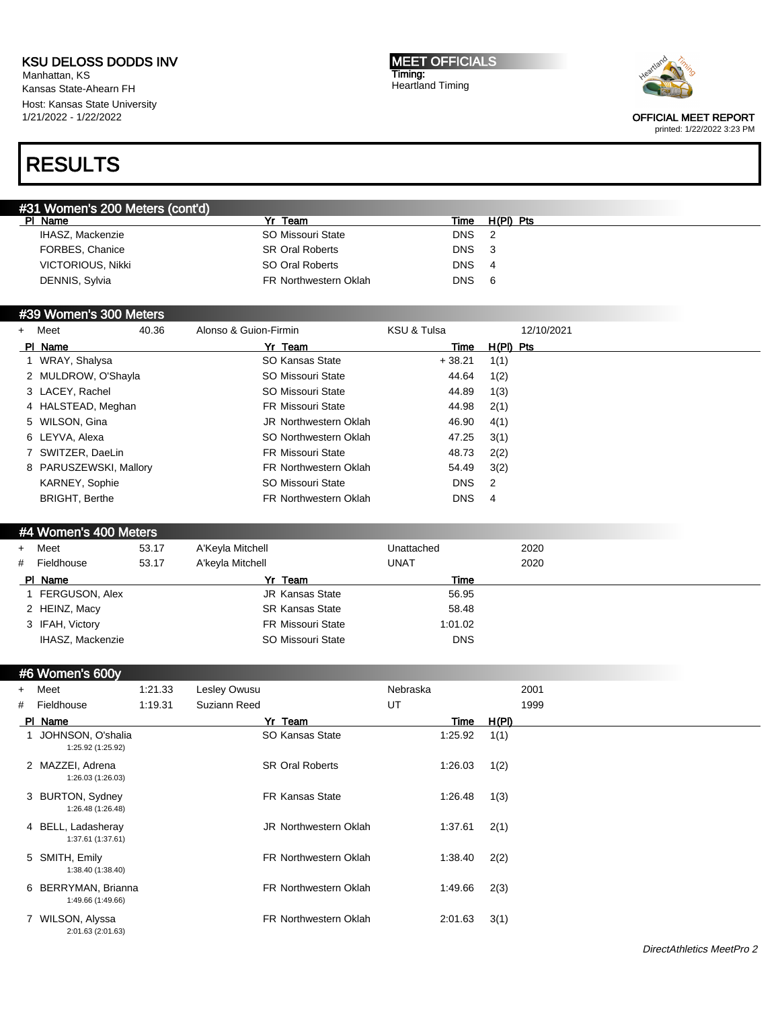Manhattan, KS Kansas State-Ahearn FH Host: Kansas State University 1/21/2022 - 1/22/2022

# RESULTS

MEET OFFICIALS Timing: Heartland Timing



OFFICIAL MEET REPORT

printed: 1/22/2022 3:23 PM

|         | #31 Women's 200 Meters (cont'd) |                        |            |           |
|---------|---------------------------------|------------------------|------------|-----------|
| PI Name |                                 | Yr<br>Team             | Time       | H(PI) Pts |
|         | IHASZ, Mackenzie                | SO Missouri State      | <b>DNS</b> |           |
|         | FORBES, Chanice                 | <b>SR Oral Roberts</b> | <b>DNS</b> | - 3       |
|         | <b>VICTORIOUS, Nikki</b>        | SO Oral Roberts        | <b>DNS</b> | -4        |
|         | DENNIS, Sylvia                  | FR Northwestern Oklah  | DNS.       | -6        |

#### #39 Women's 300 Meters

| + Meet                 | 40.36 | Alonso & Guion-Firmin        | KSU & Tulsa | 12/10/2021 |
|------------------------|-------|------------------------------|-------------|------------|
| PI Name                |       | Yr Team                      | Time        | H(PI) Pts  |
| 1 WRAY, Shalysa        |       | SO Kansas State              | $+38.21$    | 1(1)       |
| 2 MULDROW, O'Shayla    |       | SO Missouri State            | 44.64       | 1(2)       |
| 3 LACEY, Rachel        |       | SO Missouri State            | 44.89       | 1(3)       |
| 4 HALSTEAD, Meghan     |       | <b>FR Missouri State</b>     | 44.98       | 2(1)       |
| 5 WILSON, Gina         |       | <b>JR Northwestern Oklah</b> | 46.90       | 4(1)       |
| 6 LEYVA, Alexa         |       | SO Northwestern Oklah        | 47.25       | 3(1)       |
| 7 SWITZER, DaeLin      |       | <b>FR Missouri State</b>     | 48.73       | 2(2)       |
| 8 PARUSZEWSKI, Mallory |       | <b>FR Northwestern Oklah</b> | 54.49       | 3(2)       |
| KARNEY, Sophie         |       | SO Missouri State            | <b>DNS</b>  | 2          |
| <b>BRIGHT, Berthe</b>  |       | <b>FR Northwestern Oklah</b> | <b>DNS</b>  | 4          |

#### #4 Women's 400 Meters

|   | + Meet           | 53.17 | A'Keyla Mitchell         | Unattached  | 2020 |
|---|------------------|-------|--------------------------|-------------|------|
| # | Fieldhouse       | 53.17 | A'keyla Mitchell         | <b>UNAT</b> | 2020 |
|   | PI Name          |       | Yr Team                  | Time        |      |
|   | FERGUSON, Alex   |       | <b>JR Kansas State</b>   | 56.95       |      |
|   | 2 HEINZ, Macy    |       | <b>SR Kansas State</b>   | 58.48       |      |
|   | 3 IFAH, Victory  |       | <b>FR Missouri State</b> | 1:01.02     |      |
|   | IHASZ, Mackenzie |       | SO Missouri State        | <b>DNS</b>  |      |

### #6 Women's 600y

| $+$ | Meet                                     | 1:21.33 | Lesley Owusu |                              | Nebraska |         |       | 2001 |
|-----|------------------------------------------|---------|--------------|------------------------------|----------|---------|-------|------|
| #   | Fieldhouse                               | 1:19.31 | Suziann Reed |                              | UT       |         |       | 1999 |
|     | PI Name                                  |         |              | Yr Team                      |          | Time    | H(PI) |      |
|     | JOHNSON, O'shalia<br>1:25.92 (1:25.92)   |         |              | SO Kansas State              |          | 1:25.92 | 1(1)  |      |
|     | 2 MAZZEI, Adrena<br>1:26.03 (1:26.03)    |         |              | <b>SR Oral Roberts</b>       |          | 1:26.03 | 1(2)  |      |
|     | 3 BURTON, Sydney<br>1:26.48 (1:26.48)    |         |              | <b>FR Kansas State</b>       |          | 1:26.48 | 1(3)  |      |
|     | 4 BELL, Ladasheray<br>1:37.61 (1:37.61)  |         |              | JR Northwestern Oklah        |          | 1:37.61 | 2(1)  |      |
|     | 5 SMITH, Emily<br>1:38.40 (1:38.40)      |         |              | <b>FR Northwestern Oklah</b> |          | 1:38.40 | 2(2)  |      |
|     | 6 BERRYMAN, Brianna<br>1:49.66 (1:49.66) |         |              | <b>FR Northwestern Oklah</b> |          | 1:49.66 | 2(3)  |      |
|     | WILSON, Alyssa<br>2:01.63 (2:01.63)      |         |              | <b>FR Northwestern Oklah</b> |          | 2:01.63 | 3(1)  |      |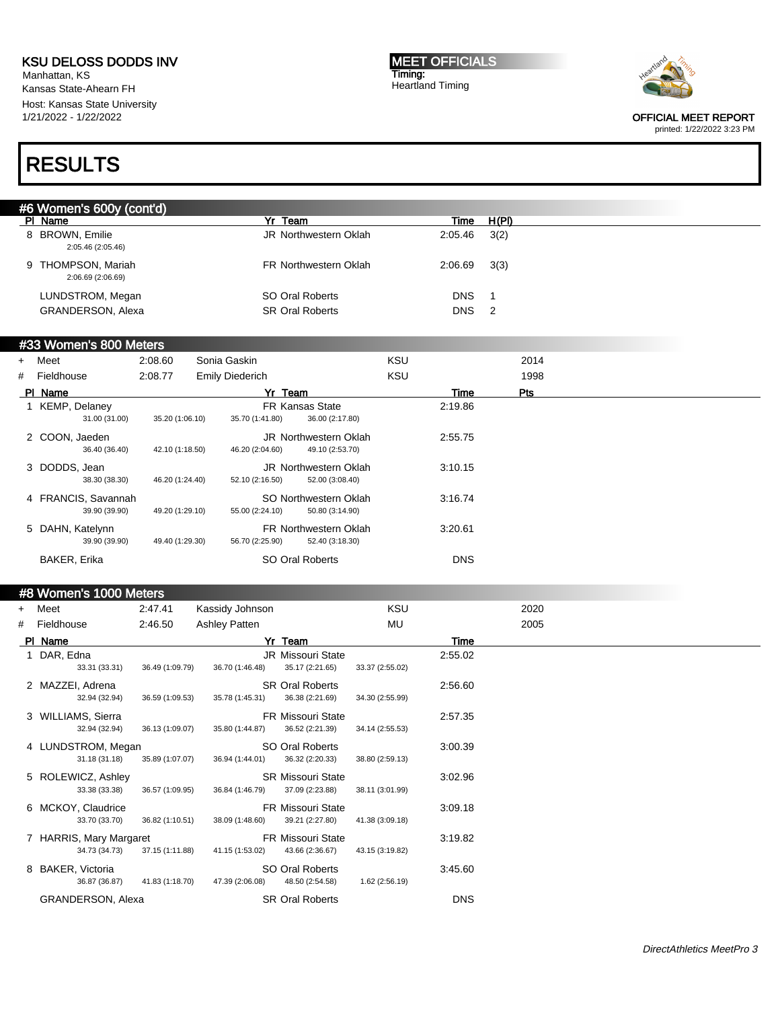Manhattan, KS Kansas State-Ahearn FH Host: Kansas State University 1/21/2022 - 1/22/2022

MEET OFFICIALS Timing: Heartland Timing



OFFICIAL MEET REPORT printed: 1/22/2022 3:23 PM

# RESULTS

| #6 Women's 600y (cont'd)                |                        |            |                            |
|-----------------------------------------|------------------------|------------|----------------------------|
| PI Name                                 | Yr Team                | Time       | H(PI)                      |
| 8 BROWN, Emilie<br>2:05.46 (2:05.46)    | JR Northwestern Oklah  | 2:05.46    | 3(2)                       |
| 9 THOMPSON, Mariah<br>2:06.69 (2:06.69) | FR Northwestern Oklah  | 2:06.69    | 3(3)                       |
| LUNDSTROM, Megan                        | SO Oral Roberts        | <b>DNS</b> | - 1                        |
| GRANDERSON, Alexa                       | <b>SR Oral Roberts</b> | <b>DNS</b> | $\overline{\phantom{0}}^2$ |
|                                         |                        |            |                            |

### #33 Women's 800 Meters

| + Meet              | 2:08.60         | Sonia Gaskin           |                              | <b>KSU</b> |            | 2014 |  |
|---------------------|-----------------|------------------------|------------------------------|------------|------------|------|--|
| # Fieldhouse        | 2:08.77         | <b>Emily Diederich</b> |                              | <b>KSU</b> |            | 1998 |  |
| PI Name             |                 | Yr Team                |                              |            | Time       | Pts  |  |
| 1 KEMP, Delaney     |                 |                        | <b>FR Kansas State</b>       |            | 2:19.86    |      |  |
| 31.00 (31.00)       | 35.20 (1:06.10) | 35.70 (1:41.80)        | 36.00 (2:17.80)              |            |            |      |  |
| 2 COON, Jaeden      |                 |                        | <b>JR Northwestern Oklah</b> |            | 2:55.75    |      |  |
| 36.40 (36.40)       | 42.10 (1:18.50) | 46.20 (2:04.60)        | 49.10 (2:53.70)              |            |            |      |  |
| 3 DODDS, Jean       |                 |                        | <b>JR Northwestern Oklah</b> |            | 3:10.15    |      |  |
| 38.30 (38.30)       | 46.20 (1:24.40) | 52.10 (2:16.50)        | 52.00 (3:08.40)              |            |            |      |  |
| 4 FRANCIS, Savannah |                 |                        | SO Northwestern Oklah        |            | 3:16.74    |      |  |
| 39.90 (39.90)       | 49.20 (1:29.10) | 55.00 (2:24.10)        | 50.80 (3:14.90)              |            |            |      |  |
| 5 DAHN, Katelynn    |                 |                        | <b>FR Northwestern Oklah</b> |            | 3:20.61    |      |  |
| 39.90 (39.90)       | 49.40 (1:29.30) | 56.70 (2:25.90)        | 52.40 (3:18.30)              |            |            |      |  |
| BAKER, Erika        |                 |                        | SO Oral Roberts              |            | <b>DNS</b> |      |  |

#### #8 Women's 1000 Meters

| $+$ | Meet                                     | 2:47.41         | Kassidy Johnson      |                                             | KSU             |            | 2020 |
|-----|------------------------------------------|-----------------|----------------------|---------------------------------------------|-----------------|------------|------|
|     | # Fieldhouse                             | 2:46.50         | <b>Ashley Patten</b> |                                             | MU              |            | 2005 |
|     | PI Name                                  |                 |                      | Yr Team                                     |                 | Time       |      |
|     | 1 DAR, Edna<br>33.31 (33.31)             | 36.49 (1:09.79) | 36.70 (1:46.48)      | JR Missouri State<br>35.17 (2:21.65)        | 33.37 (2:55.02) | 2:55.02    |      |
|     | 2 MAZZEI, Adrena<br>32.94 (32.94)        | 36.59 (1:09.53) | 35.78 (1:45.31)      | <b>SR Oral Roberts</b><br>36.38 (2:21.69)   | 34.30 (2:55.99) | 2:56.60    |      |
|     | 3 WILLIAMS, Sierra<br>32.94 (32.94)      | 36.13 (1:09.07) | 35.80 (1:44.87)      | <b>FR Missouri State</b><br>36.52 (2:21.39) | 34.14 (2:55.53) | 2:57.35    |      |
|     | 4 LUNDSTROM, Megan<br>31.18 (31.18)      | 35.89 (1:07.07) | 36.94 (1:44.01)      | SO Oral Roberts<br>36.32 (2:20.33)          | 38.80 (2:59.13) | 3:00.39    |      |
|     | 5 ROLEWICZ, Ashley<br>33.38 (33.38)      | 36.57 (1:09.95) | 36.84 (1:46.79)      | <b>SR Missouri State</b><br>37.09 (2:23.88) | 38.11 (3:01.99) | 3:02.96    |      |
|     | 6 MCKOY, Claudrice<br>33.70 (33.70)      | 36.82 (1:10.51) | 38.09 (1:48.60)      | <b>FR Missouri State</b><br>39.21 (2:27.80) | 41.38 (3:09.18) | 3:09.18    |      |
|     | 7 HARRIS, Mary Margaret<br>34.73 (34.73) | 37.15 (1:11.88) | 41.15 (1:53.02)      | <b>FR Missouri State</b><br>43.66 (2:36.67) | 43.15 (3:19.82) | 3:19.82    |      |
|     | 8 BAKER, Victoria<br>36.87 (36.87)       | 41.83 (1:18.70) | 47.39 (2:06.08)      | SO Oral Roberts<br>48.50 (2:54.58)          | 1.62 (2:56.19)  | 3:45.60    |      |
|     | <b>GRANDERSON, Alexa</b>                 |                 |                      | <b>SR Oral Roberts</b>                      |                 | <b>DNS</b> |      |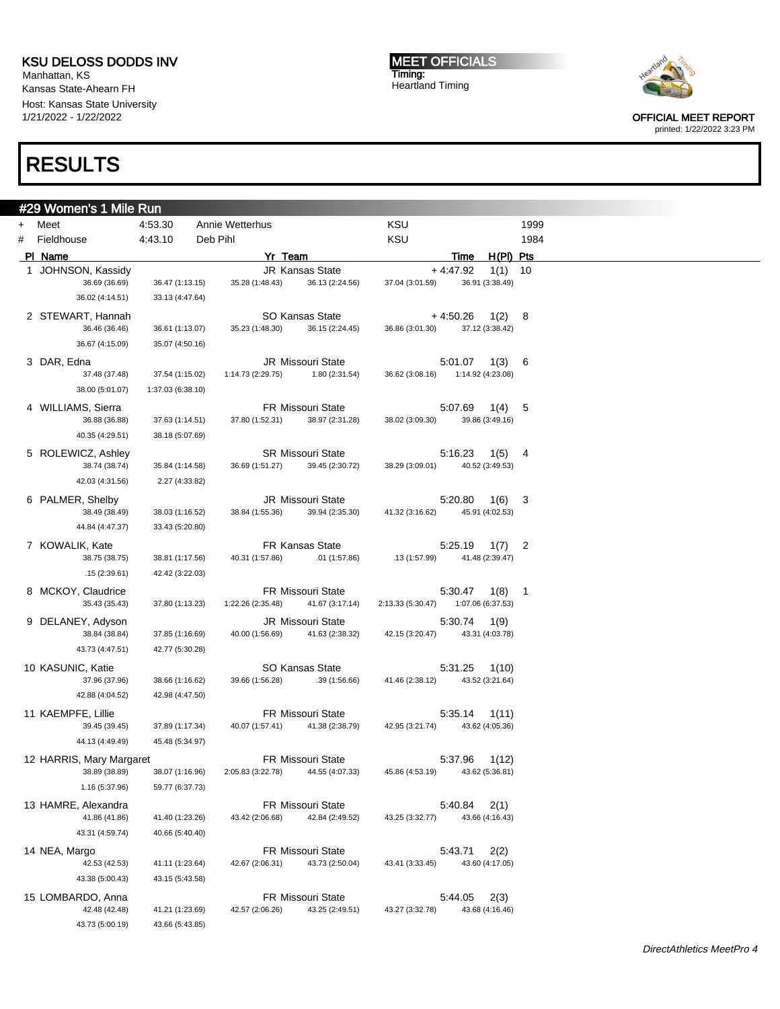Manhattan, KS Kansas State-Ahearn FH Host: Kansas State University 1/21/2022 - 1/22/2022

# RESULTS

MEET OFFICIALS Timing: Heartland Timing



OFFICIAL MEET REPORT printed: 1/22/2022 3:23 PM

|     | #29 Women's 1 Mile Run                    |                                      |                   |         |                                             |                   |            |                          |                |
|-----|-------------------------------------------|--------------------------------------|-------------------|---------|---------------------------------------------|-------------------|------------|--------------------------|----------------|
| $+$ | Meet                                      | 4:53.30                              | Annie Wetterhus   |         |                                             | KSU               |            |                          | 1999           |
| #   | Fieldhouse                                | 4:43.10                              | Deb Pihl          |         |                                             | KSU               |            |                          | 1984           |
|     | PI Name                                   |                                      |                   | Yr Team |                                             |                   | Time       | $H(PI)$ Pts              |                |
| 1.  | JOHNSON, Kassidy                          |                                      |                   |         | JR Kansas State                             |                   | $+4.47.92$ | 1(1)                     | 10             |
|     | 36.69 (36.69)                             | 36.47 (1:13.15)                      | 35.28 (1:48.43)   |         | 36.13 (2:24.56)                             | 37.04 (3:01.59)   |            | 36.91 (3:38.49)          |                |
|     | 36.02 (4:14.51)                           | 33.13 (4:47.64)                      |                   |         |                                             |                   |            |                          |                |
|     | 2 STEWART, Hannah                         |                                      |                   |         | SO Kansas State                             |                   | $+4:50.26$ | 1(2)                     | 8              |
|     | 36.46 (36.46)                             | 36.61 (1:13.07)                      | 35.23 (1:48.30)   |         | 36.15 (2:24.45)                             | 36.86 (3:01.30)   |            | 37.12 (3:38.42)          |                |
|     | 36.67 (4:15.09)                           | 35.07 (4:50.16)                      |                   |         |                                             |                   |            |                          |                |
|     | 3 DAR, Edna                               |                                      |                   |         | <b>JR Missouri State</b>                    |                   | 5:01.07    | 1(3)                     | 6              |
|     | 37.48 (37.48)                             | 37.54 (1:15.02)<br>1:37.03 (6:38.10) | 1:14.73 (2:29.75) |         | 1.80 (2:31.54)                              | 36.62 (3:08.16)   |            | 1:14.92 (4:23.08)        |                |
|     | 38.00 (5:01.07)                           |                                      |                   |         |                                             |                   |            |                          |                |
|     | 4 WILLIAMS, Sierra<br>36.88 (36.88)       | 37.63 (1:14.51)                      | 37.80 (1:52.31)   |         | <b>FR Missouri State</b><br>38.97 (2:31.28) | 38.02 (3:09.30)   | 5:07.69    | 1(4)<br>39.86 (3:49.16)  | 5              |
|     | 40.35 (4:29.51)                           | 38.18 (5:07.69)                      |                   |         |                                             |                   |            |                          |                |
|     | 5 ROLEWICZ, Ashley                        |                                      |                   |         | <b>SR Missouri State</b>                    |                   |            |                          |                |
|     | 38.74 (38.74)                             | 35.84 (1:14.58)                      | 36.69 (1:51.27)   |         | 39.45 (2:30.72)                             | 38.29 (3:09.01)   | 5:16.23    | 1(5)<br>40.52 (3:49.53)  | 4              |
|     | 42.03 (4:31.56)                           | 2.27 (4:33.82)                       |                   |         |                                             |                   |            |                          |                |
|     | 6 PALMER, Shelby                          |                                      |                   |         | <b>JR Missouri State</b>                    |                   | 5:20.80    | 1(6)                     | 3              |
|     | 38.49 (38.49)                             | 38.03 (1:16.52)                      | 38.84 (1:55.36)   |         | 39.94 (2:35.30)                             | 41.32 (3:16.62)   |            | 45.91 (4:02.53)          |                |
|     | 44.84 (4:47.37)                           | 33.43 (5:20.80)                      |                   |         |                                             |                   |            |                          |                |
|     | 7 KOWALIK, Kate                           |                                      |                   |         | FR Kansas State                             |                   | 5:25.19    | 1(7)                     | 2              |
|     | 38.75 (38.75)                             | 38.81 (1:17.56)                      | 40.31 (1:57.86)   |         | .01(1:57.86)                                | .13(1:57.99)      |            | 41.48 (2:39.47)          |                |
|     | .15(2:39.61)                              | 42.42 (3:22.03)                      |                   |         |                                             |                   |            |                          |                |
|     | 8 MCKOY, Claudrice                        |                                      |                   |         | <b>FR Missouri State</b>                    |                   | 5:30.47    | 1(8)                     | $\overline{1}$ |
|     | 35.43 (35.43)                             | 37.80 (1:13.23)                      | 1:22.26 (2:35.48) |         | 41.67 (3:17.14)                             | 2:13.33 (5:30.47) |            | 1:07.06 (6:37.53)        |                |
|     | 9 DELANEY, Adyson                         |                                      |                   |         | <b>JR Missouri State</b>                    |                   | 5:30.74    | 1(9)                     |                |
|     | 38.84 (38.84)                             | 37.85 (1:16.69)                      | 40.00 (1:56.69)   |         | 41.63 (2:38.32)                             | 42.15 (3:20.47)   |            | 43.31 (4:03.78)          |                |
|     | 43.73 (4:47.51)                           | 42.77 (5:30.28)                      |                   |         |                                             |                   |            |                          |                |
|     | 10 KASUNIC, Katie                         |                                      |                   |         | <b>SO Kansas State</b>                      |                   | 5:31.25    | 1(10)                    |                |
|     | 37.96 (37.96)                             | 38.66 (1:16.62)                      | 39.66 (1:56.28)   |         | .39(1:56.66)                                | 41.46 (2:38.12)   |            | 43.52 (3:21.64)          |                |
|     | 42.88 (4:04.52)                           | 42.98 (4:47.50)                      |                   |         |                                             |                   |            |                          |                |
|     | 11 KAEMPFE, Lillie                        |                                      |                   |         | <b>FR Missouri State</b>                    |                   | 5.35.14    | 1(11)                    |                |
|     | 39.45 (39.45)                             | 37.89 (1:17.34)                      | 40.07 (1:57.41)   |         | 41.38 (2:38.79)                             | 42.95 (3:21.74)   |            | 43.62 (4:05.36)          |                |
|     | 44.13 (4:49.49)                           | 45.48 (5:34.97)                      |                   |         |                                             |                   |            |                          |                |
|     | 12 HARRIS, Mary Margaret<br>38.89 (38.89) | 38.07 (1:16.96)                      | 2:05.83 (3:22.78) |         | FR Missouri State<br>44.55 (4:07.33)        | 45.86 (4:53.19)   | 5.37.96    | 1(12)<br>43.62 (5:36.81) |                |
|     | 1.16 (5:37.96)                            | 59.77 (6:37.73)                      |                   |         |                                             |                   |            |                          |                |
|     |                                           |                                      |                   |         |                                             |                   |            |                          |                |
|     | 13 HAMRE, Alexandra<br>41.86 (41.86)      | 41.40 (1:23.26)                      | 43.42 (2:06.68)   |         | FR Missouri State<br>42.84 (2:49.52)        | 43.25 (3:32.77)   | 5:40.84    | 2(1)<br>43.66 (4:16.43)  |                |
|     | 43.31 (4:59.74)                           | 40.66 (5:40.40)                      |                   |         |                                             |                   |            |                          |                |
|     |                                           |                                      |                   |         | FR Missouri State                           |                   |            |                          |                |
|     | 14 NEA, Margo<br>42.53 (42.53)            | 41.11 (1:23.64)                      | 42.67 (2:06.31)   |         | 43.73 (2:50.04)                             | 43.41 (3:33.45)   | 5:43.71    | 2(2)<br>43.60 (4:17.05)  |                |
|     | 43.38 (5:00.43)                           | 43.15 (5:43.58)                      |                   |         |                                             |                   |            |                          |                |
|     | 15 LOMBARDO, Anna                         |                                      |                   |         | FR Missouri State                           |                   | 5:44.05    | 2(3)                     |                |
|     | 42.48 (42.48)                             | 41.21 (1:23.69)                      | 42.57 (2:06.26)   |         | 43.25 (2:49.51)                             | 43.27 (3:32.78)   |            | 43.68 (4:16.46)          |                |
|     | 43.73 (5:00.19)                           | 43.66 (5:43.85)                      |                   |         |                                             |                   |            |                          |                |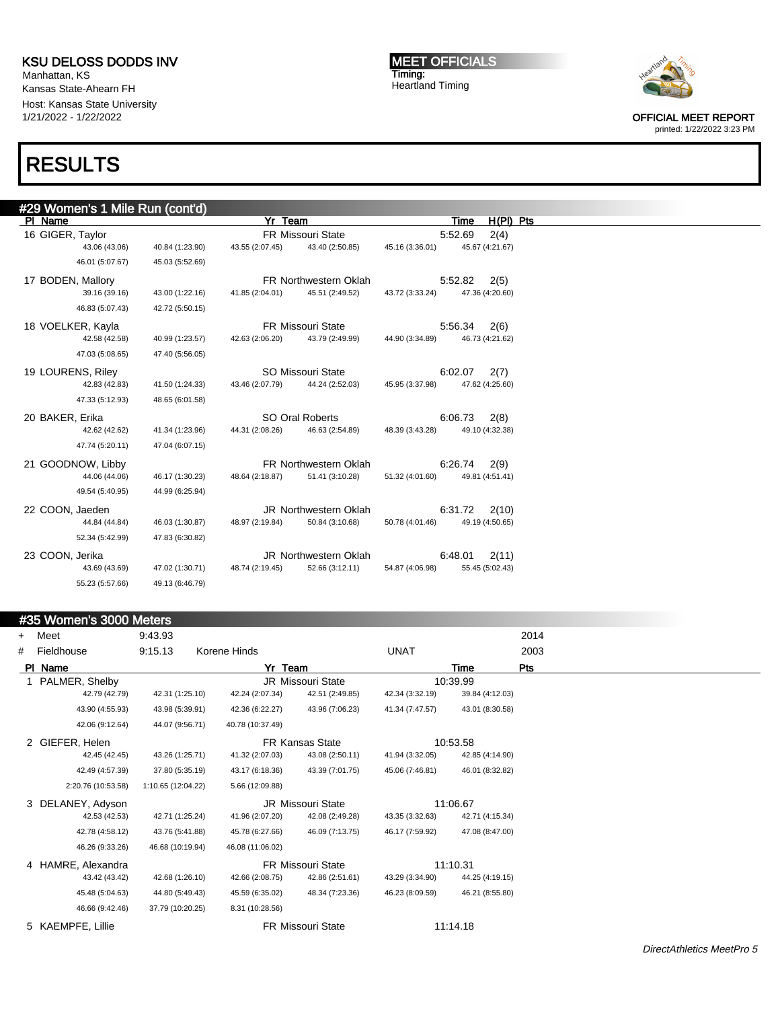Manhattan, KS Kansas State-Ahearn FH Host: Kansas State University 1/21/2022 - 1/22/2022

# RESULTS

MEET OFFICIALS Timing: Heartland Timing



OFFICIAL MEET REPORT

printed: 1/22/2022 3:23 PM

| #29 Women's 1 Mile Run (cont'd) |                 |                 |                              |                 |         |                 |     |
|---------------------------------|-----------------|-----------------|------------------------------|-----------------|---------|-----------------|-----|
| PI Name                         |                 | Yr Team         |                              |                 | Time    | H(PI)           | Pts |
| 16 GIGER, Taylor                |                 |                 | FR Missouri State            |                 | 5:52.69 | 2(4)            |     |
| 43.06 (43.06)                   | 40.84 (1:23.90) | 43.55 (2:07.45) | 43.40 (2:50.85)              | 45.16 (3:36.01) |         | 45.67 (4:21.67) |     |
| 46.01 (5:07.67)                 | 45.03 (5:52.69) |                 |                              |                 |         |                 |     |
| 17 BODEN, Mallory               |                 |                 | <b>FR Northwestern Oklah</b> |                 | 5:52.82 | 2(5)            |     |
| 39.16 (39.16)                   | 43.00 (1:22.16) | 41.85 (2:04.01) | 45.51 (2:49.52)              | 43.72 (3:33.24) |         | 47.36 (4:20.60) |     |
| 46.83 (5:07.43)                 | 42.72 (5:50.15) |                 |                              |                 |         |                 |     |
| 18 VOELKER, Kayla               |                 |                 | <b>FR Missouri State</b>     |                 | 5:56.34 | 2(6)            |     |
| 42.58 (42.58)                   | 40.99 (1:23.57) | 42.63 (2:06.20) | 43.79 (2:49.99)              | 44.90 (3:34.89) |         | 46.73 (4:21.62) |     |
| 47.03 (5:08.65)                 | 47.40 (5:56.05) |                 |                              |                 |         |                 |     |
| 19 LOURENS, Riley               |                 |                 | <b>SO Missouri State</b>     |                 | 6:02.07 | 2(7)            |     |
| 42.83 (42.83)                   | 41.50 (1:24.33) | 43.46 (2:07.79) | 44.24 (2:52.03)              | 45.95 (3:37.98) |         | 47.62 (4:25.60) |     |
| 47.33 (5:12.93)                 | 48.65 (6:01.58) |                 |                              |                 |         |                 |     |
| 20 BAKER, Erika                 |                 |                 | SO Oral Roberts              |                 | 6:06.73 | 2(8)            |     |
| 42.62 (42.62)                   | 41.34 (1:23.96) | 44.31 (2:08.26) | 46.63 (2:54.89)              | 48.39 (3:43.28) |         | 49.10 (4:32.38) |     |
| 47.74 (5:20.11)                 | 47.04 (6:07.15) |                 |                              |                 |         |                 |     |
| 21 GOODNOW, Libby               |                 |                 | <b>FR Northwestern Oklah</b> |                 | 6:26.74 | 2(9)            |     |
| 44.06 (44.06)                   | 46.17 (1:30.23) | 48.64 (2:18.87) | 51.41 (3:10.28)              | 51.32 (4:01.60) |         | 49.81 (4:51.41) |     |
| 49.54 (5:40.95)                 | 44.99 (6:25.94) |                 |                              |                 |         |                 |     |
| 22 COON, Jaeden                 |                 |                 | <b>JR Northwestern Oklah</b> |                 | 6:31.72 | 2(10)           |     |
| 44.84 (44.84)                   | 46.03 (1:30.87) | 48.97 (2:19.84) | 50.84 (3:10.68)              | 50.78 (4:01.46) |         | 49.19 (4:50.65) |     |
| 52.34 (5:42.99)                 | 47.83 (6:30.82) |                 |                              |                 |         |                 |     |
| 23 COON, Jerika                 |                 |                 | JR Northwestern Oklah        |                 | 6:48.01 | 2(11)           |     |
| 43.69 (43.69)                   | 47.02 (1:30.71) | 48.74 (2:19.45) | 52.66 (3:12.11)              | 54.87 (4:06.98) |         | 55.45 (5:02.43) |     |
| 55.23 (5:57.66)                 | 49.13 (6:46.79) |                 |                              |                 |         |                 |     |

#### #35 Women's 3000 Meters

| $+$ | Meet               | 9:43.93            |                  |                          |                 |                 | 2014 |
|-----|--------------------|--------------------|------------------|--------------------------|-----------------|-----------------|------|
| #   | Fieldhouse         | 9:15.13            | Korene Hinds     |                          | <b>UNAT</b>     |                 |      |
|     | PI Name            |                    | Yr Team          |                          |                 | Time            | Pts  |
|     | 1 PALMER, Shelby   |                    |                  | JR Missouri State        |                 | 10:39.99        |      |
|     | 42.79 (42.79)      | 42.31 (1:25.10)    | 42.24 (2:07.34)  | 42.51 (2:49.85)          | 42.34 (3:32.19) | 39.84 (4:12.03) |      |
|     | 43.90 (4:55.93)    | 43.98 (5:39.91)    | 42.36 (6:22.27)  | 43.96 (7:06.23)          | 41.34 (7:47.57) | 43.01 (8:30.58) |      |
|     | 42.06 (9:12.64)    | 44.07 (9:56.71)    | 40.78 (10:37.49) |                          |                 |                 |      |
|     | 2 GIEFER, Helen    |                    |                  | FR Kansas State          |                 | 10:53.58        |      |
|     | 42.45 (42.45)      | 43.26 (1:25.71)    | 41.32 (2:07.03)  | 43.08 (2:50.11)          | 41.94 (3:32.05) | 42.85 (4:14.90) |      |
|     | 42.49 (4:57.39)    | 37.80 (5:35.19)    | 43.17 (6:18.36)  | 43.39 (7:01.75)          | 45.06 (7:46.81) | 46.01 (8:32.82) |      |
|     | 2:20.76 (10:53.58) | 1:10.65 (12:04.22) | 5.66 (12:09.88)  |                          |                 |                 |      |
|     | 3 DELANEY, Adyson  |                    |                  | <b>JR Missouri State</b> |                 | 11:06.67        |      |
|     | 42.53 (42.53)      | 42.71 (1:25.24)    | 41.96 (2:07.20)  | 42.08 (2:49.28)          | 43.35 (3:32.63) | 42.71 (4:15.34) |      |
|     | 42.78 (4:58.12)    | 43.76 (5:41.88)    | 45.78 (6:27.66)  | 46.09 (7:13.75)          | 46.17 (7:59.92) | 47.08 (8:47.00) |      |
|     | 46.26 (9:33.26)    | 46.68 (10:19.94)   | 46.08 (11:06.02) |                          |                 |                 |      |
|     | 4 HAMRE, Alexandra |                    |                  | <b>FR Missouri State</b> |                 | 11:10.31        |      |
|     | 43.42 (43.42)      | 42.68 (1:26.10)    | 42.66 (2:08.75)  | 42.86 (2:51.61)          | 43.29 (3:34.90) | 44.25 (4:19.15) |      |
|     | 45.48 (5:04.63)    | 44.80 (5:49.43)    | 45.59 (6:35.02)  | 48.34 (7:23.36)          | 46.23 (8:09.59) | 46.21 (8:55.80) |      |
|     | 46.66 (9:42.46)    | 37.79 (10:20.25)   | 8.31 (10:28.56)  |                          |                 |                 |      |
|     | 5 KAEMPFE, Lillie  |                    |                  | <b>FR Missouri State</b> |                 | 11:14.18        |      |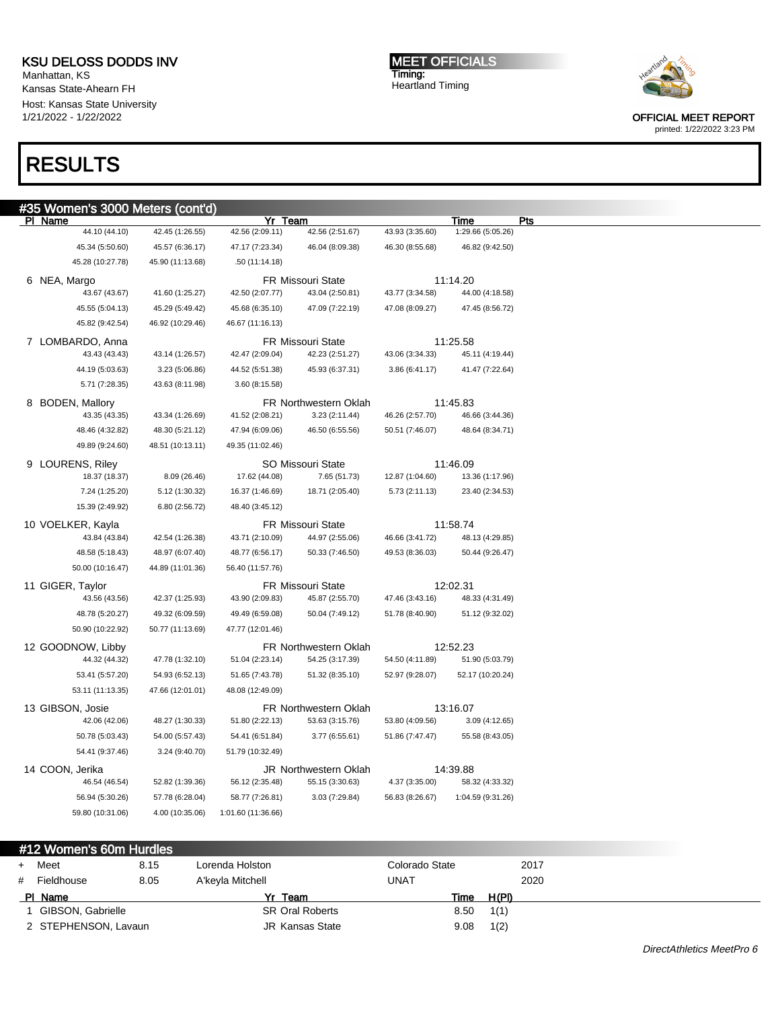Manhattan, KS Kansas State-Ahearn FH Host: Kansas State University 1/21/2022 - 1/22/2022

# RESULTS

#### MEET OFFICIALS Timing: Heartland Timing



OFFICIAL MEET REPORT printed: 1/22/2022 3:23 PM

| 35 Women's 3000 Meters (cont'd)   |                  |                    |                                             |                 |                             |  |
|-----------------------------------|------------------|--------------------|---------------------------------------------|-----------------|-----------------------------|--|
| <u>PI Name</u>                    |                  | Yr Team            |                                             |                 | Time                        |  |
| 44.10 (44.10)                     | 42.45 (1:26.55)  | 42.56 (2:09.11)    | 42.56 (2:51.67)                             | 43.93 (3:35.60) | 1:29.66 (5:05.26)           |  |
| 45.34 (5:50.60)                   | 45.57 (6:36.17)  | 47.17 (7:23.34)    | 46.04 (8:09.38)                             | 46.30 (8:55.68) | 46.82 (9:42.50)             |  |
| 45.28 (10:27.78)                  | 45.90 (11:13.68) | .50 (11:14.18)     |                                             |                 |                             |  |
| 6 NEA, Margo                      |                  |                    | <b>FR Missouri State</b>                    |                 | 11:14.20                    |  |
| 43.67 (43.67)                     | 41.60 (1:25.27)  | 42.50 (2:07.77)    | 43.04 (2:50.81)                             | 43.77 (3:34.58) | 44.00 (4:18.58)             |  |
| 45.55 (5:04.13)                   | 45.29 (5:49.42)  | 45.68 (6:35.10)    | 47.09 (7:22.19)                             | 47.08 (8:09.27) | 47.45 (8:56.72)             |  |
| 45.82 (9:42.54)                   | 46.92 (10:29.46) | 46.67 (11:16.13)   |                                             |                 |                             |  |
| 7 LOMBARDO, Anna<br>43.43 (43.43) | 43.14 (1:26.57)  | 42.47 (2:09.04)    | <b>FR Missouri State</b><br>42.23 (2:51.27) | 43.06 (3:34.33) | 11:25.58<br>45.11 (4:19.44) |  |
| 44.19 (5:03.63)                   | 3.23 (5:06.86)   | 44.52 (5:51.38)    | 45.93 (6:37.31)                             | 3.86 (6:41.17)  | 41.47 (7:22.64)             |  |
| 5.71 (7:28.35)                    | 43.63 (8:11.98)  | 3.60 (8:15.58)     |                                             |                 |                             |  |
| 8 BODEN, Mallory                  |                  |                    | FR Northwestern Oklah                       |                 | 11:45.83                    |  |
| 43.35 (43.35)                     | 43.34 (1:26.69)  | 41.52 (2:08.21)    | 3.23 (2:11.44)                              | 46.26 (2:57.70) | 46.66 (3:44.36)             |  |
| 48.46 (4:32.82)                   | 48.30 (5:21.12)  | 47.94 (6:09.06)    | 46.50 (6:55.56)                             | 50.51 (7:46.07) | 48.64 (8:34.71)             |  |
| 49.89 (9:24.60)                   | 48.51 (10:13.11) | 49.35 (11:02.46)   |                                             |                 |                             |  |
| 9 LOURENS, Riley                  |                  |                    | SO Missouri State                           |                 | 11:46.09                    |  |
| 18.37 (18.37)                     | 8.09 (26.46)     | 17.62 (44.08)      | 7.65 (51.73)                                | 12.87 (1:04.60) | 13.36 (1:17.96)             |  |
| 7.24 (1:25.20)                    | 5.12 (1:30.32)   | 16.37 (1:46.69)    | 18.71 (2:05.40)                             | 5.73 (2:11.13)  | 23.40 (2:34.53)             |  |
| 15.39 (2:49.92)                   | 6.80 (2:56.72)   | 48.40 (3:45.12)    |                                             |                 |                             |  |
| 10 VOELKER, Kayla                 |                  |                    | <b>FR Missouri State</b>                    |                 | 11:58.74                    |  |
| 43.84 (43.84)                     | 42.54 (1:26.38)  | 43.71 (2:10.09)    | 44.97 (2:55.06)                             | 46.66 (3:41.72) | 48.13 (4:29.85)             |  |
| 48.58 (5:18.43)                   | 48.97 (6:07.40)  | 48.77 (6:56.17)    | 50.33 (7:46.50)                             | 49.53 (8:36.03) | 50.44 (9:26.47)             |  |
| 50.00 (10:16.47)                  | 44.89 (11:01.36) | 56.40 (11:57.76)   |                                             |                 |                             |  |
| 11 GIGER, Taylor                  |                  |                    | <b>FR Missouri State</b>                    | 12:02.31        |                             |  |
| 43.56 (43.56)                     | 42.37 (1:25.93)  | 43.90 (2:09.83)    | 45.87 (2:55.70)                             | 47.46 (3:43.16) | 48.33 (4:31.49)             |  |
| 48.78 (5:20.27)                   | 49.32 (6:09.59)  | 49.49 (6:59.08)    | 50.04 (7:49.12)                             | 51.78 (8:40.90) | 51.12 (9:32.02)             |  |
| 50.90 (10:22.92)                  | 50.77 (11:13.69) | 47.77 (12:01.46)   |                                             |                 |                             |  |
| 12 GOODNOW, Libby                 |                  |                    | FR Northwestern Oklah                       |                 | 12:52.23                    |  |
| 44.32 (44.32)                     | 47.78 (1:32.10)  | 51.04 (2:23.14)    | 54.25 (3:17.39)                             | 54.50 (4:11.89) | 51.90 (5:03.79)             |  |
| 53.41 (5:57.20)                   | 54.93 (6:52.13)  | 51.65 (7:43.78)    | 51.32 (8:35.10)                             | 52.97 (9:28.07) | 52.17 (10:20.24)            |  |
| 53.11 (11:13.35)                  | 47.66 (12:01.01) | 48.08 (12:49.09)   |                                             |                 |                             |  |
| 13 GIBSON, Josie                  |                  |                    | <b>FR Northwestern Oklah</b>                |                 | 13:16.07                    |  |
| 42.06 (42.06)                     | 48.27 (1:30.33)  | 51.80 (2:22.13)    | 53.63 (3:15.76)                             | 53.80 (4:09.56) | 3.09 (4:12.65)              |  |
| 50.78 (5:03.43)                   | 54.00 (5:57.43)  | 54.41 (6:51.84)    | 3.77 (6:55.61)                              | 51.86 (7:47.47) | 55.58 (8:43.05)             |  |
| 54.41 (9:37.46)                   | 3.24 (9:40.70)   | 51.79 (10:32.49)   |                                             |                 |                             |  |
| 14 COON, Jerika                   |                  |                    | JR Northwestern Oklah                       |                 | 14:39.88                    |  |
| 46.54 (46.54)                     | 52.82 (1:39.36)  | 56.12 (2:35.48)    | 55.15 (3:30.63)                             | 4.37 (3:35.00)  | 58.32 (4:33.32)             |  |
| 56.94 (5:30.26)                   | 57.78 (6:28.04)  | 58.77 (7:26.81)    | 3.03 (7:29.84)                              | 56.83 (8:26.67) | 1:04.59 (9:31.26)           |  |
| 59.80 (10:31.06)                  | 4.00 (10:35.06)  | 1:01.60 (11:36.66) |                                             |                 |                             |  |

#### #12 Women's 60m Hurdles

| $+$ | Meet                 | 8.15 | Lorenda Holston        | Colorado State |       | 2017 |
|-----|----------------------|------|------------------------|----------------|-------|------|
| #   | Fieldhouse           | 8.05 | A'keyla Mitchell       | UNAT           |       | 2020 |
|     | PI Name              |      | Yr Team                | Time           | H(PI) |      |
|     | GIBSON, Gabrielle    |      | <b>SR Oral Roberts</b> | 8.50           | 1(1)  |      |
|     | 2 STEPHENSON, Lavaun |      | <b>JR Kansas State</b> | 9.08           | 1(2)  |      |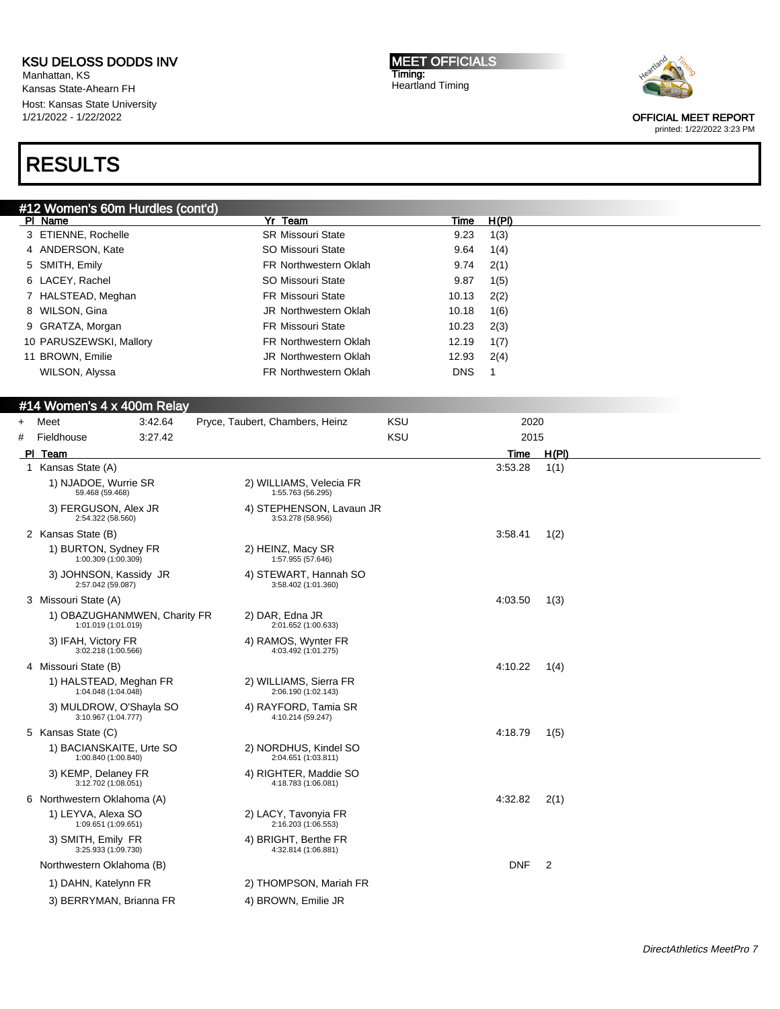Manhattan, KS Kansas State-Ahearn FH Host: Kansas State University 1/21/2022 - 1/22/2022

# RESULTS

MEET OFFICIALS Timing: Heartland Timing



OFFICIAL MEET REPORT

| #12 Women's 60m Hurdles (cont'd) |                                 |            |       |  |
|----------------------------------|---------------------------------|------------|-------|--|
| PI Name                          | Team<br>Yr                      | Time       | H(PI) |  |
| 3 ETIENNE, Rochelle              | <b>SR Missouri State</b>        | 9.23       | 1(3)  |  |
| 4 ANDERSON, Kate                 | SO Missouri State               | 9.64       | 1(4)  |  |
| 5 SMITH, Emily                   | <b>FR Northwestern Oklah</b>    | 9.74       | 2(1)  |  |
| 6 LACEY, Rachel                  | <b>SO Missouri State</b>        | 9.87       | 1(5)  |  |
| 7 HALSTEAD, Meghan               | <b>FR Missouri State</b>        | 10.13      | 2(2)  |  |
| 8 WILSON, Gina                   | <b>JR</b> Northwestern Oklah    | 10.18      | 1(6)  |  |
| 9 GRATZA, Morgan                 | <b>FR Missouri State</b>        | 10.23      | 2(3)  |  |
| 10 PARUSZEWSKI, Mallory          | <b>FR Northwestern Oklah</b>    | 12.19      | 1(7)  |  |
| 11 BROWN, Emilie                 | <b>JR Northwestern Oklah</b>    | 12.93      | 2(4)  |  |
| WILSON, Alyssa                   | <b>FR Northwestern Oklah</b>    | <b>DNS</b> |       |  |
|                                  |                                 |            |       |  |
| #14 Women's 4 x 400m Relay       |                                 |            |       |  |
| Meet<br>3:42.64<br>$+$           | Pryce, Taubert, Chambers, Heinz | <b>KSU</b> | 2020  |  |

| $+$ | Meet                                                | 3:42.64 | Pryce, Taubert, Chambers, Heinz               | <b>KSU</b> | 2020       |                |  |
|-----|-----------------------------------------------------|---------|-----------------------------------------------|------------|------------|----------------|--|
| #   | Fieldhouse                                          | 3:27.42 |                                               | <b>KSU</b> | 2015       |                |  |
|     | PI Team                                             |         |                                               |            | Time       | H(PI)          |  |
| 1   | Kansas State (A)                                    |         |                                               |            | 3:53.28    | 1(1)           |  |
|     | 1) NJADOE, Wurrie SR<br>59.468 (59.468)             |         | 2) WILLIAMS, Velecia FR<br>1:55.763 (56.295)  |            |            |                |  |
|     | 3) FERGUSON, Alex JR<br>2:54.322 (58.560)           |         | 4) STEPHENSON, Lavaun JR<br>3:53.278 (58.956) |            |            |                |  |
|     | 2 Kansas State (B)                                  |         |                                               |            | 3:58.41    | 1(2)           |  |
|     | 1) BURTON, Sydney FR<br>1:00.309 (1:00.309)         |         | 2) HEINZ, Macy SR<br>1:57.955 (57.646)        |            |            |                |  |
|     | 3) JOHNSON, Kassidy JR<br>2:57.042 (59.087)         |         | 4) STEWART, Hannah SO<br>3:58.402 (1:01.360)  |            |            |                |  |
|     | 3 Missouri State (A)                                |         |                                               |            | 4:03.50    | 1(3)           |  |
|     | 1) OBAZUGHANMWEN, Charity FR<br>1:01.019 (1:01.019) |         | 2) DAR, Edna JR<br>2:01.652 (1:00.633)        |            |            |                |  |
|     | 3) IFAH, Victory FR<br>3:02.218 (1:00.566)          |         | 4) RAMOS, Wynter FR<br>4:03.492 (1:01.275)    |            |            |                |  |
|     | 4 Missouri State (B)                                |         |                                               |            | 4:10.22    | 1(4)           |  |
|     | 1) HALSTEAD, Meghan FR<br>1:04.048 (1:04.048)       |         | 2) WILLIAMS, Sierra FR<br>2:06.190 (1:02.143) |            |            |                |  |
|     | 3) MULDROW, O'Shayla SO<br>3:10.967 (1:04.777)      |         | 4) RAYFORD, Tamia SR<br>4:10.214 (59.247)     |            |            |                |  |
|     | 5 Kansas State (C)                                  |         |                                               |            | 4:18.79    | 1(5)           |  |
|     | 1) BACIANSKAITE, Urte SO<br>1:00.840 (1:00.840)     |         | 2) NORDHUS, Kindel SO<br>2:04.651 (1:03.811)  |            |            |                |  |
|     | 3) KEMP, Delaney FR<br>3:12.702 (1:08.051)          |         | 4) RIGHTER, Maddie SO<br>4:18.783 (1:06.081)  |            |            |                |  |
|     | 6 Northwestern Oklahoma (A)                         |         |                                               |            | 4:32.82    | 2(1)           |  |
|     | 1) LEYVA, Alexa SO<br>1:09.651 (1:09.651)           |         | 2) LACY, Tavonyia FR<br>2:16.203 (1:06.553)   |            |            |                |  |
|     | 3) SMITH, Emily FR<br>3:25.933 (1:09.730)           |         | 4) BRIGHT, Berthe FR<br>4:32.814 (1:06.881)   |            |            |                |  |
|     | Northwestern Oklahoma (B)                           |         |                                               |            | <b>DNF</b> | $\overline{2}$ |  |
|     | 1) DAHN, Katelynn FR                                |         | 2) THOMPSON, Mariah FR                        |            |            |                |  |
|     | 3) BERRYMAN, Brianna FR                             |         | 4) BROWN, Emilie JR                           |            |            |                |  |
|     |                                                     |         |                                               |            |            |                |  |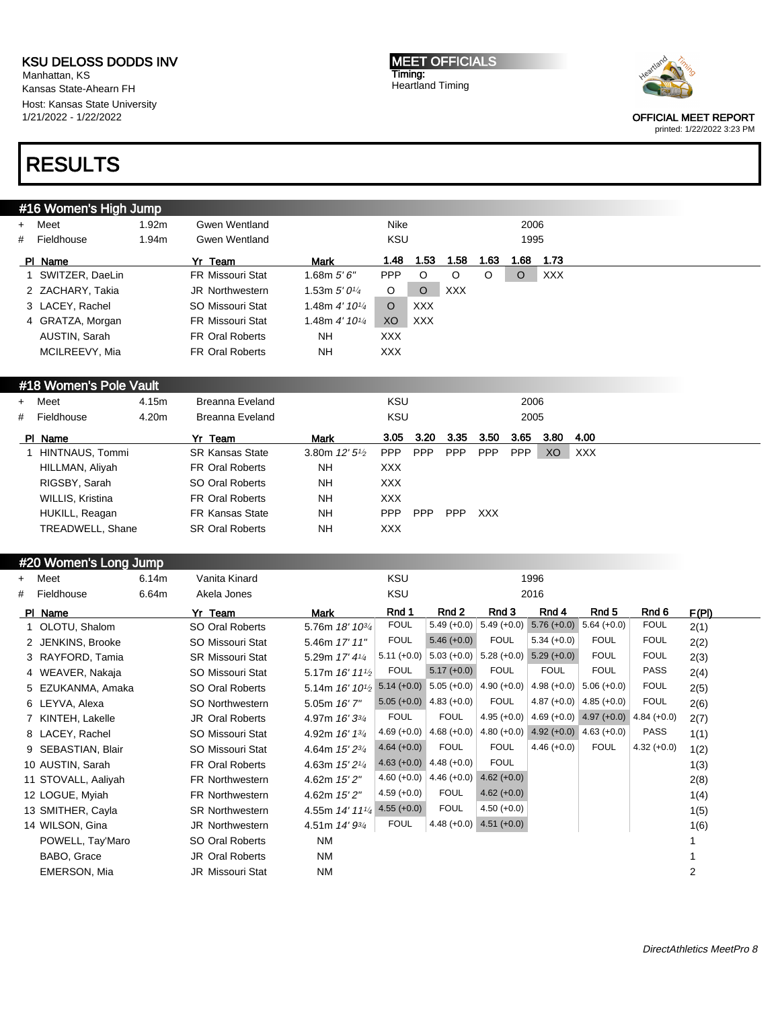Manhattan, KS Kansas State-Ahearn FH Host: Kansas State University 1/21/2022 - 1/22/2022

## RESULTS

### #16 Women's High Jump

| + Meet            | .92m | Gwen Wentland           |                            | Nike       |            |         |      | 2006    |            |
|-------------------|------|-------------------------|----------------------------|------------|------------|---------|------|---------|------------|
| # Fieldhouse      | .94m | Gwen Wentland           |                            | KSU        |            |         |      | 1995    |            |
| PI Name           |      | Yr Team                 | <b>Mark</b>                | 1.48       | 1.53       | 1.58    | 1.63 | 1.68    | 1.73       |
| 1 SWITZER, DaeLin |      | <b>FR Missouri Stat</b> | 1.68m $5'6''$              | <b>PPP</b> | O          | $\circ$ | O    | $\circ$ | <b>XXX</b> |
| 2 ZACHARY, Takia  |      | <b>JR Northwestern</b>  | 1.53m $5'$ 01/4            | O          | O          | XXX     |      |         |            |
| 3 LACEY, Rachel   |      | SO Missouri Stat        | 1.48m  4' 101⁄4            | $\circ$    | <b>XXX</b> |         |      |         |            |
| 4 GRATZA, Morgan  |      | <b>FR Missouri Stat</b> | 1.48m 4' 101/ <sub>4</sub> | XO         | <b>XXX</b> |         |      |         |            |
| AUSTIN, Sarah     |      | <b>FR Oral Roberts</b>  | NH                         | <b>XXX</b> |            |         |      |         |            |
| MCILREEVY, Mia    |      | <b>FR Oral Roberts</b>  | <b>NH</b>                  | <b>XXX</b> |            |         |      |         |            |
|                   |      |                         |                            |            |            |         |      |         |            |

#### #18 Women's Pole Vault

| + Meet           | 4.15m | Breanna Eveland        |                         | KSU        |            |            |            | 2006       |      |            |
|------------------|-------|------------------------|-------------------------|------------|------------|------------|------------|------------|------|------------|
| # Fieldhouse     | 4.20m | Breanna Eveland        |                         | KSU        |            |            |            | 2005       |      |            |
| PI Name          |       | Yr Team                | <b>Mark</b>             | 3.05       | 3.20       | 3.35       | 3.50       | 3.65       | 3.80 | 4.00       |
| HINTNAUS, Tommi  |       | <b>SR Kansas State</b> | 3.80m $12'5\frac{1}{2}$ | <b>PPP</b> | <b>PPP</b> | <b>PPP</b> | <b>PPP</b> | <b>PPP</b> | XO.  | <b>XXX</b> |
| HILLMAN, Aliyah  |       | <b>FR Oral Roberts</b> | <b>NH</b>               | XXX.       |            |            |            |            |      |            |
| RIGSBY, Sarah    |       | SO Oral Roberts        | <b>NH</b>               | XXX.       |            |            |            |            |      |            |
| WILLIS, Kristina |       | <b>FR Oral Roberts</b> | <b>NH</b>               | XXX.       |            |            |            |            |      |            |
| HUKILL, Reagan   |       | <b>FR Kansas State</b> | <b>NH</b>               | <b>PPP</b> | <b>PPP</b> | <b>PPP</b> | <b>XXX</b> |            |      |            |
| TREADWELL, Shane |       | <b>SR Oral Roberts</b> | <b>NH</b>               | <b>XXX</b> |            |            |            |            |      |            |

### #20 Women's Long Jump

| $+$ | Meet                | 6.14m | Vanita Kinard           |                                            | <b>KSU</b>    |                             |               | 1996          |               |               |       |
|-----|---------------------|-------|-------------------------|--------------------------------------------|---------------|-----------------------------|---------------|---------------|---------------|---------------|-------|
| #   | Fieldhouse          | 6.64m | Akela Jones             |                                            | KSU           |                             |               | 2016          |               |               |       |
|     | PI Name             |       | Yr Team                 | <b>Mark</b>                                | Rnd 1         | Rnd 2                       | Rnd 3         | Rnd 4         | Rnd 5         | Rnd 6         | F(PI) |
|     | 1 OLOTU, Shalom     |       | SO Oral Roberts         | 5.76m 18' 10 <sup>3/4</sup>                | <b>FOUL</b>   | $5.49 (+0.0)$               | $5.49 (+0.0)$ | $5.76 (+0.0)$ | $5.64 (+0.0)$ | <b>FOUL</b>   | 2(1)  |
|     | 2 JENKINS, Brooke   |       | SO Missouri Stat        | 5.46m 17' 11"                              | <b>FOUL</b>   | $5.46 (+0.0)$               | <b>FOUL</b>   | $5.34 (+0.0)$ | <b>FOUL</b>   | <b>FOUL</b>   | 2(2)  |
|     | 3 RAYFORD, Tamia    |       | <b>SR Missouri Stat</b> | 5.29m 17' 41/4                             | $5.11 (+0.0)$ | $5.03 (+0.0)$               | $5.28(+0.0)$  | $5.29 (+0.0)$ | <b>FOUL</b>   | <b>FOUL</b>   | 2(3)  |
|     | 4 WEAVER, Nakaja    |       | SO Missouri Stat        | 5.17m $16'$ 11 <sup>1</sup> / <sub>2</sub> | <b>FOUL</b>   | $5.17 (+0.0)$               | <b>FOUL</b>   | <b>FOUL</b>   | <b>FOUL</b>   | <b>PASS</b>   | 2(4)  |
|     | 5 EZUKANMA, Amaka   |       | SO Oral Roberts         | 5.14m 16' 10 <sup>1</sup> / <sub>2</sub>   |               | $5.14 (+0.0)$ $5.05 (+0.0)$ | $4.90 (+0.0)$ | $4.98 (+0.0)$ | $5.06 (+0.0)$ | <b>FOUL</b>   | 2(5)  |
|     | 6 LEYVA, Alexa      |       | SO Northwestern         | 5.05m 16' 7"                               |               | $5.05 (+0.0)$ 4.83 (+0.0)   | <b>FOUL</b>   | $4.87 (+0.0)$ | $4.85 (+0.0)$ | <b>FOUL</b>   | 2(6)  |
|     | 7 KINTEH, Lakelle   |       | <b>JR Oral Roberts</b>  | 4.97m 16' 33/4                             | <b>FOUL</b>   | <b>FOUL</b>                 | $4.95 (+0.0)$ | $4.69 (+0.0)$ | $4.97 (+0.0)$ | $4.84 (+0.0)$ | 2(7)  |
|     | 8 LACEY, Rachel     |       | SO Missouri Stat        | 4.92m 16' 13/4                             | $4.69 (+0.0)$ | $4.68 (+0.0)$               | $4.80 (+0.0)$ | $4.92 (+0.0)$ | $4.63 (+0.0)$ | <b>PASS</b>   | 1(1)  |
|     | 9 SEBASTIAN, Blair  |       | SO Missouri Stat        | 4.64m 15' 23/4                             | $4.64 (+0.0)$ | <b>FOUL</b>                 | <b>FOUL</b>   | $4.46 (+0.0)$ | <b>FOUL</b>   | $4.32 (+0.0)$ | 1(2)  |
|     | 10 AUSTIN, Sarah    |       | <b>FR Oral Roberts</b>  | 4.63m $15'2\frac{1}{4}$                    |               | $4.63 (+0.0)$ $4.48 (+0.0)$ | <b>FOUL</b>   |               |               |               | 1(3)  |
|     | 11 STOVALL, Aaliyah |       | FR Northwestern         | 4.62m 15' 2"                               | 4.60 $(+0.0)$ | $4.46 (+0.0)$               | $4.62 (+0.0)$ |               |               |               | 2(8)  |
|     | 12 LOGUE, Myiah     |       | <b>FR Northwestern</b>  | 4.62m 15' 2"                               | $4.59(+0.0)$  | <b>FOUL</b>                 | $4.62 (+0.0)$ |               |               |               | 1(4)  |
|     | 13 SMITHER, Cayla   |       | <b>SR Northwestern</b>  | 4.55m 14' 111/4                            | $4.55(+0.0)$  | <b>FOUL</b>                 | $4.50 (+0.0)$ |               |               |               | 1(5)  |
|     | 14 WILSON, Gina     |       | JR Northwestern         | 4.51m 14' 93/4                             | <b>FOUL</b>   | $4.48 (+0.0)$               | $4.51 (+0.0)$ |               |               |               | 1(6)  |
|     | POWELL, Tay'Maro    |       | SO Oral Roberts         | NM                                         |               |                             |               |               |               |               |       |
|     | BABO, Grace         |       | <b>JR Oral Roberts</b>  | <b>NM</b>                                  |               |                             |               |               |               |               |       |
|     | EMERSON, Mia        |       | <b>JR Missouri Stat</b> | <b>NM</b>                                  |               |                             |               |               |               |               | 2     |
|     |                     |       |                         |                                            |               |                             |               |               |               |               |       |

MEET OFFICIALS Timing: Heartland Timing



OFFICIAL MEET REPORT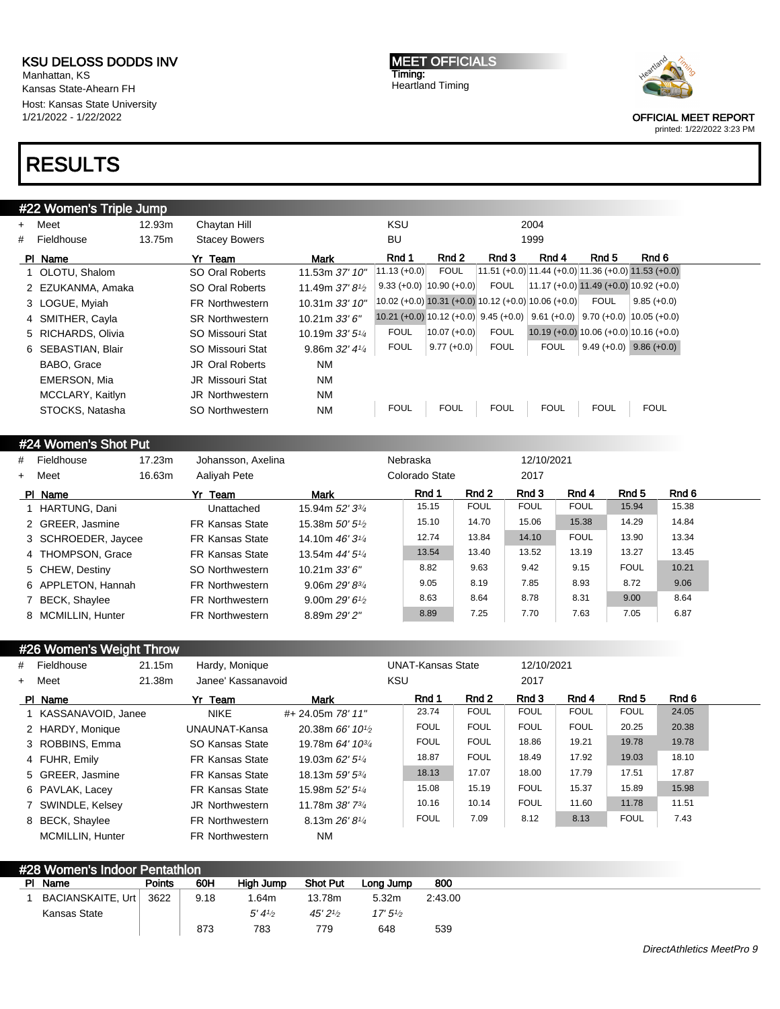Manhattan, KS Kansas State-Ahearn FH Host: Kansas State University 1/21/2022 - 1/22/2022

### RESULTS

#### #22 Women's Triple Jump + Meet 12.93m Chaytan Hill KSU 2004 # Fieldhouse 13.75m Stacey Bowers BU 1999 PIName **Yr Team Mark Rnd 1 Rnd 2 Rnd 3 Rnd 4 Rnd 5** Rnd 6 1 OLOTU, Shalom SO Oral Roberts 11.53m 37' 10" 11.13 (+0.0) FOUL 11.51 (+0.0) 11.44 (+0.0) 11.36 (+0.0) 11.53 (+0.0) 2 EZUKANMA, Amaka SO Oral Roberts 11.49m 37' 8<sup>1</sup>/2 9.33 (+0.0)  $|10.90 + 0.0|$  FOUL  $|11.17 + 0.0|$  11.49 (+0.0) 10.92 (+0.0) 3 LOGUE, Myiah FR Northwestern 10.31m 33' 10" 10.02 (+0.0) 10.31 (+0.0) 10.12 (+0.0) 10.06 (+0.0) FOUL 9.85 (+0.0) 4 SMITHER, Cayla SR Northwestern 10.21m 33' 6" 10.21 (+0.0) 10.12 (+0.0) 9.45 (+0.0) 9.61 (+0.0) 9.70 (+0.0) 10.05 (+0.0) 5 RICHARDS, Olivia SO Missouri Stat 10.19m 33' 51/<sup>4</sup> FOUL 10.07 (+0.0) FOUL 10.19 (+0.0) 10.06 (+0.0) 10.16 (+0.0) 6 SEBASTIAN, Blair SO Missouri Stat 9.86m 32' 41/<sup>4</sup> FOUL 9.77 (+0.0) FOUL FOUL 9.49 (+0.0) 9.86 (+0.0) BABO, Grace **JR Oral Roberts** NM EMERSON, Mia **JR Missouri Stat** NM MCCLARY, Kaitlyn JR Northwestern NM STOCKS, Natasha SO Northwestern NM FOUL FOUL FOUL FOUL FOUL FOUL

### #24 Women's Shot Put

| #         | Fieldhouse          | 17.23m | Johansson, Axelina     |                          | Nebraska       |             | 12/10/2021  |             |             |       |  |
|-----------|---------------------|--------|------------------------|--------------------------|----------------|-------------|-------------|-------------|-------------|-------|--|
| $\ddot{}$ | Meet                | 16.63m | Aaliyah Pete           |                          | Colorado State |             | 2017        |             |             |       |  |
|           | PI Name             |        | Yr Team                | Mark                     | Rnd 1          | Rnd 2       | Rnd 3       | Rnd 4       | Rnd 5       | Rnd 6 |  |
|           | 1 HARTUNG, Dani     |        | Unattached             | 15.94m 52' 33/4          | 15.15          | <b>FOUL</b> | <b>FOUL</b> | <b>FOUL</b> | 15.94       | 15.38 |  |
|           | 2 GREER, Jasmine    |        | <b>FR Kansas State</b> | 15.38m $50'5\frac{1}{2}$ | 15.10          | 14.70       | 15.06       | 15.38       | 14.29       | 14.84 |  |
|           | 3 SCHROEDER, Jaycee |        | <b>FR Kansas State</b> | 14.10m $46'3\frac{1}{4}$ | 12.74          | 13.84       | 14.10       | <b>FOUL</b> | 13.90       | 13.34 |  |
|           | 4 THOMPSON, Grace   |        | <b>FR Kansas State</b> | 13.54m $44'5\frac{1}{4}$ | 13.54          | 13.40       | 13.52       | 13.19       | 13.27       | 13.45 |  |
|           | 5 CHEW, Destiny     |        | SO Northwestern        | 10.21m 33' 6"            | 8.82           | 9.63        | 9.42        | 9.15        | <b>FOUL</b> | 10.21 |  |
|           | 6 APPLETON, Hannah  |        | <b>FR Northwestern</b> | 9.06m $29'8^{3}/4$       | 9.05           | 8.19        | 7.85        | 8.93        | 8.72        | 9.06  |  |
|           | 7 BECK, Shaylee     |        | FR Northwestern        | 9.00m $29'6\%$           | 8.63           | 8.64        | 8.78        | 8.31        | 9.00        | 8.64  |  |
|           | 8 MCMILLIN, Hunter  |        | <b>FR Northwestern</b> | 8.89m 29' 2"             | 8.89           | 7.25        | 7.70        | 7.63        | 7.05        | 6.87  |  |

| #26 Women's Weight Throw |        |                        |                                           |                          |             |             |             |             |       |
|--------------------------|--------|------------------------|-------------------------------------------|--------------------------|-------------|-------------|-------------|-------------|-------|
| # Fieldhouse             | 21.15m | Hardy, Monique         |                                           | <b>UNAT-Kansas State</b> |             | 12/10/2021  |             |             |       |
| + Meet                   | 21.38m | Janee' Kassanavoid     |                                           | KSU                      |             | 2017        |             |             |       |
| PI Name                  |        | Yr Team                | <b>Mark</b>                               | Rnd 1                    | Rnd 2       | Rnd 3       | Rnd 4       | Rnd 5       | Rnd 6 |
| 1 KASSANAVOID, Janee     |        | <b>NIKE</b>            | #+ 24.05m 78' 11"                         | 23.74                    | <b>FOUL</b> | <b>FOUL</b> | <b>FOUL</b> | <b>FOUL</b> | 24.05 |
| 2 HARDY, Monique         |        | UNAUNAT-Kansa          | 20.38m 66' 10 <sup>1</sup> / <sub>2</sub> | <b>FOUL</b>              | <b>FOUL</b> | <b>FOUL</b> | <b>FOUL</b> | 20.25       | 20.38 |
| 3 ROBBINS, Emma          |        | SO Kansas State        | 19.78m 64' 10 <sup>3/4</sup>              | <b>FOUL</b>              | <b>FOUL</b> | 18.86       | 19.21       | 19.78       | 19.78 |
| 4 FUHR, Emily            |        | <b>FR Kansas State</b> | 19.03m $62'5\frac{1}{4}$                  | 18.87                    | <b>FOUL</b> | 18.49       | 17.92       | 19.03       | 18.10 |
| 5 GREER, Jasmine         |        | <b>FR Kansas State</b> | 18.13m 59' 53/4                           | 18.13                    | 17.07       | 18.00       | 17.79       | 17.51       | 17.87 |
| 6 PAVLAK, Lacey          |        | <b>FR Kansas State</b> | 15.98m 52' 51/4                           | 15.08                    | 15.19       | <b>FOUL</b> | 15.37       | 15.89       | 15.98 |
| 7 SWINDLE, Kelsey        |        | JR Northwestern        | 11.78m $38'$ 7 $\frac{3}{4}$              | 10.16                    | 10.14       | <b>FOUL</b> | 11.60       | 11.78       | 11.51 |
| 8 BECK, Shaylee          |        | <b>FR Northwestern</b> | 8.13m $26'8'4$                            | <b>FOUL</b>              | 7.09        | 8.12        | 8.13        | <b>FOUL</b> | 7.43  |
| <b>MCMILLIN. Hunter</b>  |        | <b>FR Northwestern</b> | <b>NM</b>                                 |                          |             |             |             |             |       |

#### #28 Women's Indoor Pentathlon PI Name **Points 60H** High Jump Shot Put Long Jump 800 1 BACIANSKAITE, Urt Kansas State 3622 9.18 873 1.64m  $5' 4<sup>1</sup>/<sub>2</sub>$ 783 13.78m 45' 2<sup>1</sup>/<sup>2</sup> 779 5.32m 17' 5<sup>1</sup>/<sup>2</sup> 648 2:43.00 539

MEET OFFICIALS Timing: Heartland Timing



OFFICIAL MEET REPORT printed: 1/22/2022 3:23 PM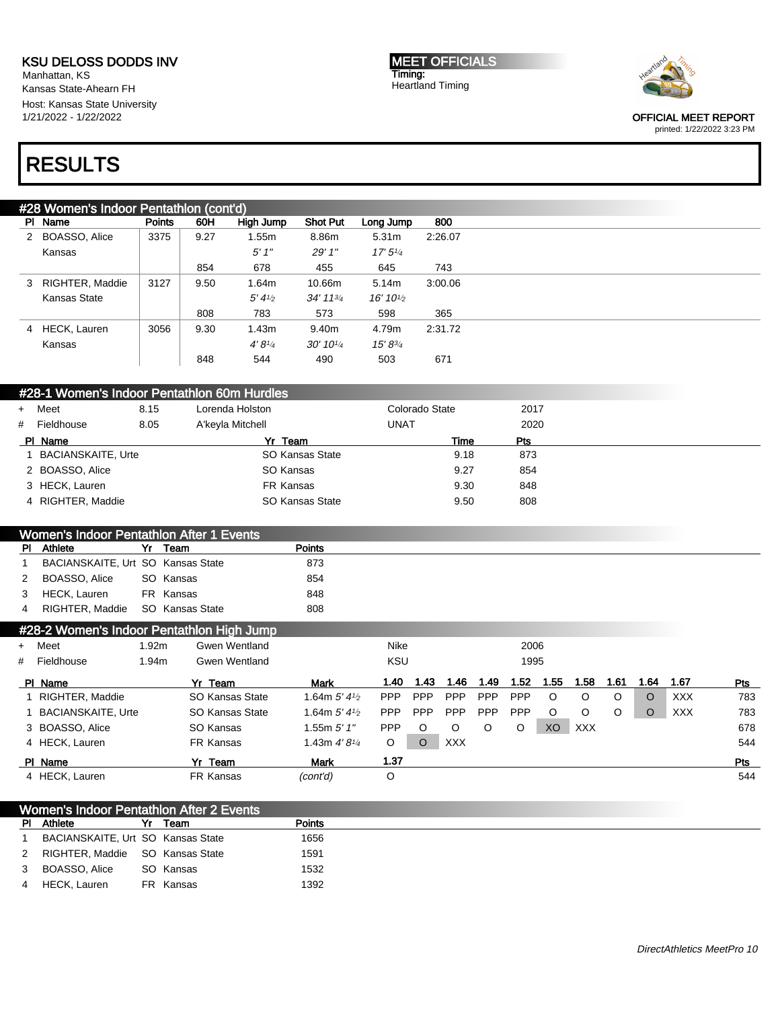Manhattan, KS Kansas State-Ahearn FH Host: Kansas State University 1/21/2022 - 1/22/2022

MEET OFFICIALS Timing: Heartland Timing



OFFICIAL MEET REPORT printed: 1/22/2022 3:23 PM

# RESULTS

|              | #28 Women's Indoor Pentathlon (cont'd)      |               |                        |                        |                            |                                    |                |                |      |      |         |            |         |         |            |     |
|--------------|---------------------------------------------|---------------|------------------------|------------------------|----------------------------|------------------------------------|----------------|----------------|------|------|---------|------------|---------|---------|------------|-----|
|              | PI Name                                     | <b>Points</b> | 60H                    | <b>High Jump</b>       | <b>Shot Put</b>            | Long Jump                          |                | 800            |      |      |         |            |         |         |            |     |
|              | 2 BOASSO, Alice                             | 3375          | 9.27                   | 1.55m                  | 8.86m                      | 5.31m                              |                | 2:26.07        |      |      |         |            |         |         |            |     |
|              | Kansas                                      |               |                        | $5'$ $1''$             | 29' 1"                     | 17'5''/4                           |                |                |      |      |         |            |         |         |            |     |
|              |                                             |               | 854                    | 678                    | 455                        | 645                                |                | 743            |      |      |         |            |         |         |            |     |
|              | 3 RIGHTER, Maddie                           | 3127          | 9.50                   | 1.64m                  | 10.66m                     | 5.14m                              |                | 3:00.06        |      |      |         |            |         |         |            |     |
|              | Kansas State                                |               |                        | 5'4''                  | 34' 113/4                  | 16' 10 <sup>1</sup> / <sub>2</sub> |                |                |      |      |         |            |         |         |            |     |
|              |                                             |               | 808                    | 783                    | 573                        | 598                                |                | 365            |      |      |         |            |         |         |            |     |
|              | 4 HECK, Lauren                              | 3056          | 9.30                   | 1.43m                  | 9.40m                      | 4.79m                              |                | 2:31.72        |      |      |         |            |         |         |            |     |
|              | Kansas                                      |               |                        | 4'8''/4                | 30' 101/4                  | $15' 8^{3/4}$                      |                |                |      |      |         |            |         |         |            |     |
|              |                                             |               | 848                    | 544                    | 490                        | 503                                |                | 671            |      |      |         |            |         |         |            |     |
|              |                                             |               |                        |                        |                            |                                    |                |                |      |      |         |            |         |         |            |     |
|              | #28-1 Women's Indoor Pentathlon 60m Hurdles |               |                        |                        |                            |                                    |                |                |      |      |         |            |         |         |            |     |
| $\ddot{}$    | Meet                                        | 8.15          |                        | Lorenda Holston        |                            |                                    | Colorado State |                |      | 2017 |         |            |         |         |            |     |
| #            | Fieldhouse                                  | 8.05          |                        | A'keyla Mitchell       |                            | <b>UNAT</b>                        |                |                |      | 2020 |         |            |         |         |            |     |
|              | PI Name                                     |               |                        | Yr Team                |                            |                                    |                | Time           |      | Pts  |         |            |         |         |            |     |
| 1            | <b>BACIANSKAITE, Urte</b>                   |               |                        |                        | SO Kansas State            |                                    |                | 9.18           |      | 873  |         |            |         |         |            |     |
|              | 2 BOASSO, Alice                             |               |                        | SO Kansas              |                            |                                    |                | 9.27           |      | 854  |         |            |         |         |            |     |
|              | 3 HECK, Lauren                              |               |                        | FR Kansas              |                            |                                    |                | 9.30           |      | 848  |         |            |         |         |            |     |
|              | 4 RIGHTER, Maddie                           |               |                        |                        | <b>SO Kansas State</b>     |                                    |                | 9.50           |      | 808  |         |            |         |         |            |     |
|              |                                             |               |                        |                        |                            |                                    |                |                |      |      |         |            |         |         |            |     |
|              | Women's Indoor Pentathlon After 1 Events    |               |                        |                        |                            |                                    |                |                |      |      |         |            |         |         |            |     |
| <b>PI</b>    | Athlete                                     |               | Yr Team                |                        | <b>Points</b>              |                                    |                |                |      |      |         |            |         |         |            |     |
| $\mathbf{1}$ | BACIANSKAITE, Urt SO Kansas State           |               |                        |                        | 873                        |                                    |                |                |      |      |         |            |         |         |            |     |
| 2            | BOASSO, Alice                               |               | SO Kansas<br>FR Kansas |                        | 854                        |                                    |                |                |      |      |         |            |         |         |            |     |
| 3            | HECK, Lauren<br>RIGHTER, Maddie             |               | SO Kansas State        |                        | 848<br>808                 |                                    |                |                |      |      |         |            |         |         |            |     |
| 4            |                                             |               |                        |                        |                            |                                    |                |                |      |      |         |            |         |         |            |     |
|              | #28-2 Women's Indoor Pentathlon High Jump   |               |                        |                        |                            |                                    |                |                |      |      |         |            |         |         |            |     |
| +            | Meet                                        | 1.92m         |                        | <b>Gwen Wentland</b>   |                            | Nike                               |                |                |      | 2006 |         |            |         |         |            |     |
| #            | Fieldhouse                                  | 1.94m         |                        | <b>Gwen Wentland</b>   |                            | <b>KSU</b>                         |                |                |      | 1995 |         |            |         |         |            |     |
|              | PI Name                                     |               | Yr Team                |                        | <b>Mark</b>                | 1.40                               | 1.43           | 1.46           | 1.49 | 1.52 | 1.55    | 1.58       | 1.61    | 1.64    | 1.67       | Pts |
| 1.           | RIGHTER, Maddie                             |               |                        | SO Kansas State        | 1.64m $5'$ 4 $\frac{1}{2}$ | <b>PPP</b>                         | PPP            | PPP            | PPP  | PPP  | $\circ$ | $\circ$    | $\circ$ | $\circ$ | <b>XXX</b> | 783 |
| 1            | <b>BACIANSKAITE, Urte</b>                   |               |                        | <b>SO Kansas State</b> | 1.64m $5'$ 4 $\frac{1}{2}$ | PPP                                | PPP            | PPP            | PPP  | PPP  | O       | $\circ$    | O       | $\circ$ | XXX        | 783 |
|              | 3 BOASSO, Alice                             |               | SO Kansas              |                        | 1.55 $m 5' 1''$            | <b>PPP</b>                         | $\circ$        | O              | O    | O    | XO      | <b>XXX</b> |         |         |            | 678 |
|              | 4 HECK, Lauren                              |               | FR Kansas              |                        | 1.43m $4'8\frac{1}{4}$     | O                                  | $\circ$        | $\mathsf{XXX}$ |      |      |         |            |         |         |            | 544 |
|              | PI Name                                     |               | Yr_Team                |                        | <b>Mark</b>                | 1.37                               |                |                |      |      |         |            |         |         |            | Pts |
|              | 4 HECK, Lauren                              |               | FR Kansas              |                        | (cont'd)                   | $\circ$                            |                |                |      |      |         |            |         |         |            | 544 |

| Women's Indoor Pentathlon After 2 Events |                                   |    |           |               |  |  |  |  |  |
|------------------------------------------|-----------------------------------|----|-----------|---------------|--|--|--|--|--|
| <b>PI</b>                                | Athlete                           | Yr | Team      | <b>Points</b> |  |  |  |  |  |
|                                          | BACIANSKAITE, Urt SO Kansas State |    |           | 1656          |  |  |  |  |  |
| 2                                        | RIGHTER, Maddie SO Kansas State   |    |           | 1591          |  |  |  |  |  |
| 3                                        | BOASSO, Alice                     |    | SO Kansas | 1532          |  |  |  |  |  |
| $\overline{4}$                           | HECK, Lauren                      |    | FR Kansas | 1392          |  |  |  |  |  |
|                                          |                                   |    |           |               |  |  |  |  |  |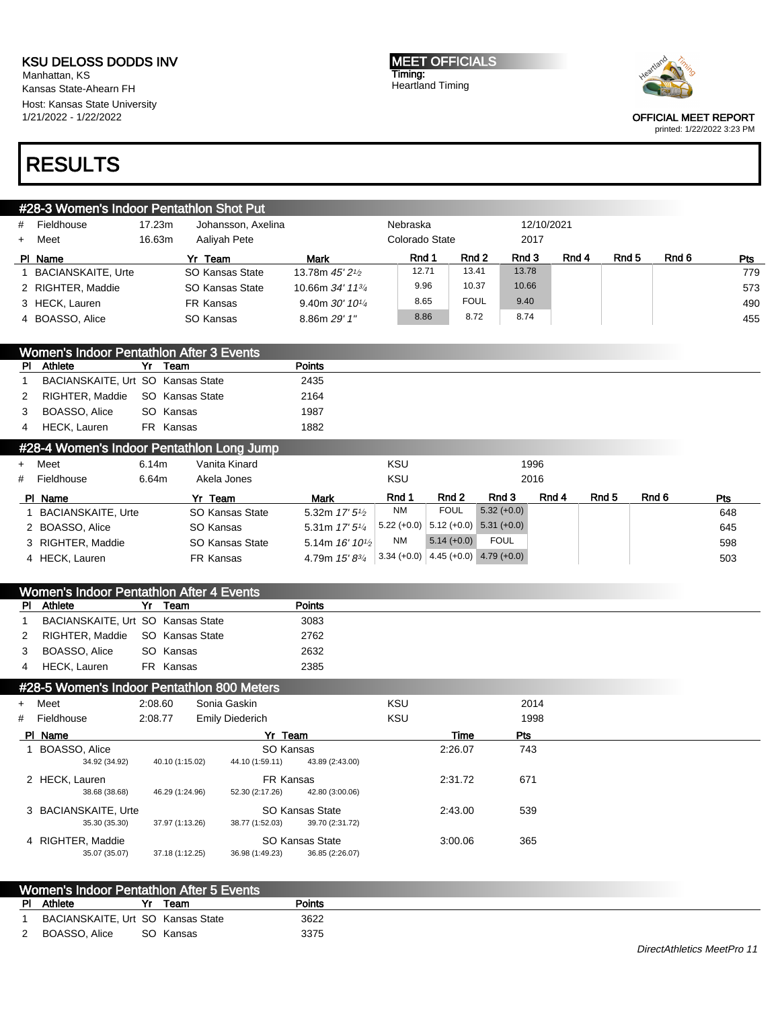Manhattan, KS Kansas State-Ahearn FH Host: Kansas State University 1/21/2022 - 1/22/2022

# RESULTS

|   | #28-3 Women's Indoor Pentathlon Shot Put |        |                    |                                            |                |             |            |       |       |       |     |
|---|------------------------------------------|--------|--------------------|--------------------------------------------|----------------|-------------|------------|-------|-------|-------|-----|
| # | Fieldhouse                               | 17.23m | Johansson, Axelina |                                            | Nebraska       |             | 12/10/2021 |       |       |       |     |
|   | + Meet                                   | 16.63m | Aaliyah Pete       |                                            | Colorado State |             | 2017       |       |       |       |     |
|   | PI Name                                  |        | Yr Team            | <b>Mark</b>                                | Rnd 1          | Rnd 2       | Rnd 3      | Rnd 4 | Rnd 5 | Rnd 6 | Pts |
|   | 1 BACIANSKAITE, Urte                     |        | SO Kansas State    | 13.78m 45' 2 <sup>1</sup> / <sub>2</sub>   | 12.71          | 13.41       | 13.78      |       |       |       | 779 |
|   | 2 RIGHTER, Maddie                        |        | SO Kansas State    | 10.66m 34' 11 <sup>3</sup> / <sub>4</sub>  | 9.96           | 10.37       | 10.66      |       |       |       | 573 |
|   | 3 HECK, Lauren                           |        | FR Kansas          | 9.40m $30'$ 10 <sup>1</sup> / <sub>4</sub> | 8.65           | <b>FOUL</b> | 9.40       |       |       |       | 490 |
|   | 4 BOASSO, Alice                          |        | SO Kansas          | 8.86m 29' 1"                               | 8.86           | 8.72        | 8.74       |       |       |       | 455 |

| Women's Indoor Pentathlon After 3 Events |                                   |       |                                           |               |     |      |  |  |  |  |
|------------------------------------------|-----------------------------------|-------|-------------------------------------------|---------------|-----|------|--|--|--|--|
|                                          | PI Athlete                        |       | Yr Team                                   | <b>Points</b> |     |      |  |  |  |  |
|                                          | BACIANSKAITE, Urt SO Kansas State |       |                                           | 2435          |     |      |  |  |  |  |
| 2                                        | RIGHTER, Maddie SO Kansas State   |       |                                           | 2164          |     |      |  |  |  |  |
| 3                                        | BOASSO, Alice                     |       | SO Kansas                                 | 1987          |     |      |  |  |  |  |
|                                          | 4 HECK, Lauren                    |       | FR Kansas                                 | 1882          |     |      |  |  |  |  |
|                                          |                                   |       | #28-4 Women's Indoor Pentathlon Long Jump |               |     |      |  |  |  |  |
|                                          | + Meet                            | 6.14m | Vanita Kinard                             |               | KSU | 1996 |  |  |  |  |
|                                          |                                   |       |                                           |               |     |      |  |  |  |  |

| Fieldhouse         | 6.64m | Akela Jones     |                             | KSU       |              |                                       | 2016  |                  |       |     |
|--------------------|-------|-----------------|-----------------------------|-----------|--------------|---------------------------------------|-------|------------------|-------|-----|
| PI Name            |       | Team<br>Yr      | Mark                        | Rnd ·     | Rnd 2        | Rnd 3                                 | Rnd 4 | Rnd <sub>5</sub> | Rnd 6 | Pts |
| BACIANSKAITE, Urte |       | SO Kansas State | 5.32m $17'5\frac{1}{2}$     | <b>NM</b> | <b>FOUL</b>  | $5.32(+0.0)$                          |       |                  |       | 648 |
| 2 BOASSO, Alice    |       | SO Kansas       | 5.31m $17'5\frac{1}{4}$     |           |              | $5.22 (+0.0)$ 5.12 (+0.0) 5.31 (+0.0) |       |                  |       | 645 |
| 3 RIGHTER, Maddie  |       | SO Kansas State | 5.14m $16'$ $10\frac{1}{2}$ | NM        | $5.14(+0.0)$ | <b>FOUL</b>                           |       |                  |       | 598 |
| 4 HECK, Lauren     |       | FR Kansas       | 4.79m 15' 83/4              |           |              | $3.34 (+0.0) 4.45 (+0.0) 4.79 (+0.0)$ |       |                  |       | 503 |

| Athlete       | Yr | Team | <b>Points</b>                                                                                  |                                          |
|---------------|----|------|------------------------------------------------------------------------------------------------|------------------------------------------|
|               |    |      | 3083                                                                                           |                                          |
|               |    |      | 2762                                                                                           |                                          |
| BOASSO, Alice |    |      | 2632                                                                                           |                                          |
| HECK, Lauren  |    |      | 2385                                                                                           |                                          |
| 2             | 3  |      | BACIANSKAITE, Urt SO Kansas State<br>RIGHTER, Maddie SO Kansas State<br>SO Kansas<br>FR Kansas | Women's Indoor Pentathlon After 4 Events |

### #28-5 Women's Indoor Pentathlon 800 Meters

| + Meet               | 2:08.60         | Sonia Gaskin           |                 | <b>KSU</b> |         | 2014       |
|----------------------|-----------------|------------------------|-----------------|------------|---------|------------|
| # Fieldhouse         | 2:08.77         | <b>Emily Diederich</b> |                 | <b>KSU</b> |         | 1998       |
| PI Name              |                 | Yr Team                |                 |            | Time    | <b>Pts</b> |
| BOASSO, Alice        |                 | SO Kansas              |                 |            | 2:26.07 | 743        |
| 34.92 (34.92)        | 40.10 (1:15.02) | 44.10 (1:59.11)        | 43.89 (2:43.00) |            |         |            |
| 2 HECK, Lauren       |                 | FR Kansas              |                 |            | 2:31.72 | 671        |
| 38.68 (38.68)        | 46.29 (1:24.96) | 52.30 (2:17.26)        | 42.80 (3:00.06) |            |         |            |
| 3 BACIANSKAITE, Urte |                 |                        | SO Kansas State |            | 2:43.00 | 539        |
| 35.30 (35.30)        | 37.97 (1:13.26) | 38.77 (1:52.03)        | 39.70 (2:31.72) |            |         |            |
| 4 RIGHTER, Maddie    |                 |                        | SO Kansas State |            | 3:00.06 | 365        |
| 35.07 (35.07)        | 37.18 (1:12.25) | 36.98 (1:49.23)        | 36.85 (2:26.07) |            |         |            |
|                      |                 |                        |                 |            |         |            |

|                                   | Women's Indoor Pentathlon After 5 Events |               |  |
|-----------------------------------|------------------------------------------|---------------|--|
| <b>PI</b> Athlete                 | Team                                     | <b>Points</b> |  |
| BACIANSKAITE, Urt SO Kansas State |                                          | 3622          |  |
| 2 BOASSO, Alice                   | SO Kansas                                | 3375          |  |



#### OFFICIAL MEET REPORT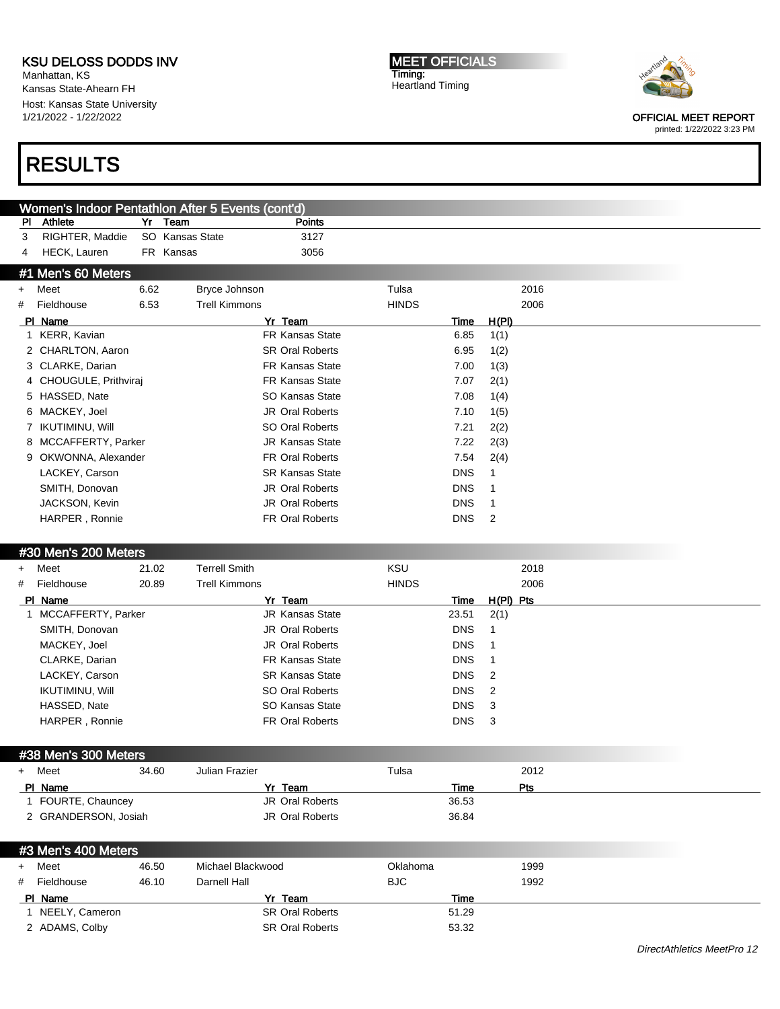Manhattan, KS Kansas State-Ahearn FH Host: Kansas State University 1/21/2022 - 1/22/2022

# RESULTS

MEET OFFICIALS Timing: Heartland Timing



OFFICIAL MEET REPORT

| Athlete<br>Yr<br>Team<br>Points<br>PI<br>RIGHTER, Maddie<br>SO Kansas State<br>3127<br>3<br>HECK, Lauren<br>3056<br>FR Kansas<br>4<br>#1 Men's 60 Meters<br>6.62<br>Bryce Johnson<br>Tulsa<br>2016<br>Meet<br>$\ddot{}$<br>6.53<br><b>HINDS</b><br>Fieldhouse<br><b>Trell Kimmons</b><br>2006<br>#<br>PI Name<br>Yr Team<br>H(PI)<br>Time |                            |
|-------------------------------------------------------------------------------------------------------------------------------------------------------------------------------------------------------------------------------------------------------------------------------------------------------------------------------------------|----------------------------|
|                                                                                                                                                                                                                                                                                                                                           |                            |
|                                                                                                                                                                                                                                                                                                                                           |                            |
|                                                                                                                                                                                                                                                                                                                                           |                            |
|                                                                                                                                                                                                                                                                                                                                           |                            |
|                                                                                                                                                                                                                                                                                                                                           |                            |
|                                                                                                                                                                                                                                                                                                                                           |                            |
|                                                                                                                                                                                                                                                                                                                                           |                            |
| 1 KERR, Kavian<br><b>FR Kansas State</b><br>6.85<br>1(1)                                                                                                                                                                                                                                                                                  |                            |
| 2 CHARLTON, Aaron<br><b>SR Oral Roberts</b><br>6.95<br>1(2)                                                                                                                                                                                                                                                                               |                            |
| 3 CLARKE, Darian<br><b>FR Kansas State</b><br>7.00<br>1(3)                                                                                                                                                                                                                                                                                |                            |
| CHOUGULE, Prithviraj<br><b>FR Kansas State</b><br>7.07<br>2(1)<br>4                                                                                                                                                                                                                                                                       |                            |
| SO Kansas State<br>HASSED, Nate<br>7.08<br>1(4)<br>5                                                                                                                                                                                                                                                                                      |                            |
| MACKEY, Joel<br>JR Oral Roberts<br>7.10<br>1(5)<br>6                                                                                                                                                                                                                                                                                      |                            |
| SO Oral Roberts<br><b>IKUTIMINU, Will</b><br>7.21<br>$\mathbf{7}$<br>2(2)                                                                                                                                                                                                                                                                 |                            |
| MCCAFFERTY, Parker<br><b>JR Kansas State</b><br>7.22<br>2(3)<br>8                                                                                                                                                                                                                                                                         |                            |
| FR Oral Roberts<br>9 OKWONNA, Alexander<br>7.54<br>2(4)                                                                                                                                                                                                                                                                                   |                            |
| LACKEY, Carson<br><b>SR Kansas State</b><br><b>DNS</b><br>1                                                                                                                                                                                                                                                                               |                            |
| JR Oral Roberts<br>SMITH, Donovan<br><b>DNS</b><br>1                                                                                                                                                                                                                                                                                      |                            |
| JR Oral Roberts<br>JACKSON, Kevin<br><b>DNS</b><br>1                                                                                                                                                                                                                                                                                      |                            |
| HARPER, Ronnie<br><b>FR Oral Roberts</b><br><b>DNS</b><br>2                                                                                                                                                                                                                                                                               |                            |
|                                                                                                                                                                                                                                                                                                                                           |                            |
| #30 Men's 200 Meters                                                                                                                                                                                                                                                                                                                      |                            |
| KSU<br><b>Terrell Smith</b><br>Meet<br>21.02<br>2018<br>$\ddot{}$                                                                                                                                                                                                                                                                         |                            |
| Fieldhouse<br>20.89<br><b>Trell Kimmons</b><br><b>HINDS</b><br>2006<br>#                                                                                                                                                                                                                                                                  |                            |
| $H(PI)$ Pts<br>PI Name<br>Yr Team<br>Time                                                                                                                                                                                                                                                                                                 |                            |
| 1 MCCAFFERTY, Parker<br><b>JR Kansas State</b><br>23.51<br>2(1)                                                                                                                                                                                                                                                                           |                            |
| SMITH, Donovan<br><b>JR Oral Roberts</b><br><b>DNS</b><br>1                                                                                                                                                                                                                                                                               |                            |
| JR Oral Roberts<br>MACKEY, Joel<br><b>DNS</b><br>1                                                                                                                                                                                                                                                                                        |                            |
| CLARKE, Darian<br><b>FR Kansas State</b><br><b>DNS</b><br>1                                                                                                                                                                                                                                                                               |                            |
| LACKEY, Carson<br><b>SR Kansas State</b><br><b>DNS</b><br>$\overline{2}$                                                                                                                                                                                                                                                                  |                            |
| SO Oral Roberts<br><b>IKUTIMINU, Will</b><br><b>DNS</b><br>2                                                                                                                                                                                                                                                                              |                            |
| SO Kansas State<br>HASSED, Nate<br><b>DNS</b><br>3                                                                                                                                                                                                                                                                                        |                            |
| FR Oral Roberts<br>HARPER, Ronnie<br><b>DNS</b><br>3                                                                                                                                                                                                                                                                                      |                            |
|                                                                                                                                                                                                                                                                                                                                           |                            |
| #38 Men's 300 Meters                                                                                                                                                                                                                                                                                                                      |                            |
| 2012<br>- Meet<br>34.60<br>Tulsa<br>Julian Frazier                                                                                                                                                                                                                                                                                        |                            |
| Yr Team<br>Time<br>Pts<br>PI Name                                                                                                                                                                                                                                                                                                         |                            |
| 1 FOURTE, Chauncey<br>JR Oral Roberts<br>36.53                                                                                                                                                                                                                                                                                            |                            |
| 2 GRANDERSON, Josiah<br><b>JR Oral Roberts</b><br>36.84                                                                                                                                                                                                                                                                                   |                            |
|                                                                                                                                                                                                                                                                                                                                           |                            |
| #3 Men's 400 Meters                                                                                                                                                                                                                                                                                                                       |                            |
| Meet<br>46.50<br>Michael Blackwood<br>Oklahoma<br>1999<br>$\ddot{}$                                                                                                                                                                                                                                                                       |                            |
| <b>BJC</b><br>Fieldhouse<br>46.10<br>Darnell Hall<br>1992<br>#                                                                                                                                                                                                                                                                            |                            |
|                                                                                                                                                                                                                                                                                                                                           |                            |
| PI Name<br>Yr Team<br>Time<br>1 NEELY, Cameron<br><b>SR Oral Roberts</b><br>51.29                                                                                                                                                                                                                                                         |                            |
| 2 ADAMS, Colby<br><b>SR Oral Roberts</b><br>53.32                                                                                                                                                                                                                                                                                         |                            |
|                                                                                                                                                                                                                                                                                                                                           |                            |
|                                                                                                                                                                                                                                                                                                                                           | DirectAthletics MeetPro 12 |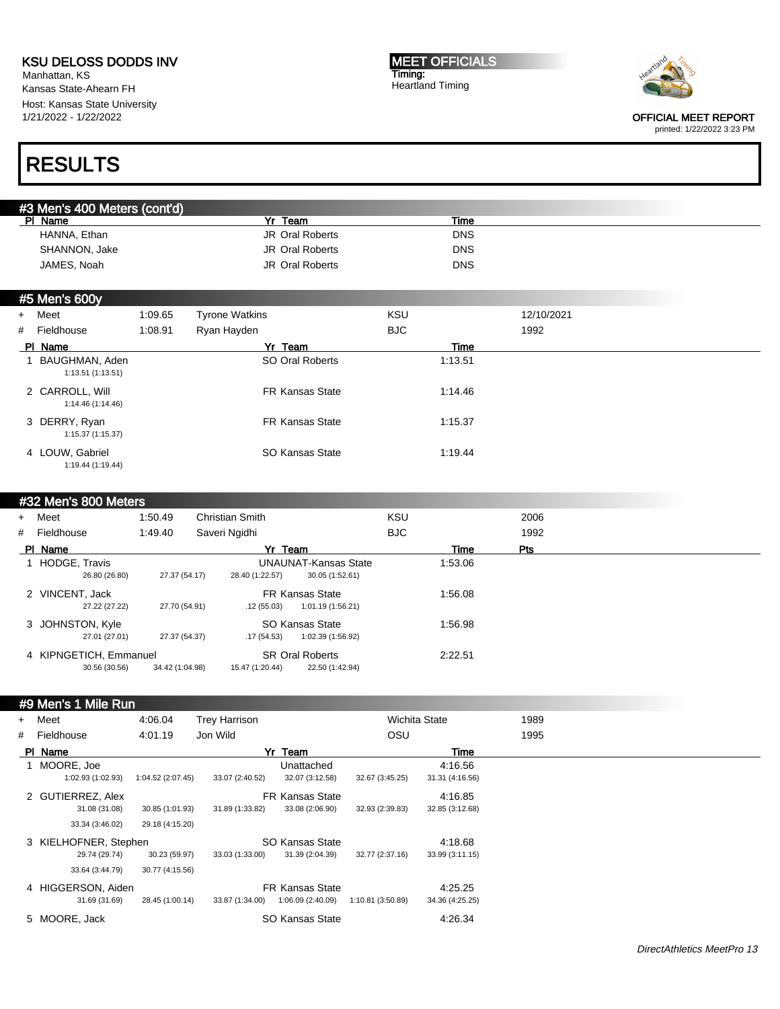Manhattan, KS Kansas State-Ahearn FH Host: Kansas State University 1/21/2022 - 1/22/2022

MEET OFFICIALS Timing: Heartland Timing



OFFICIAL MEET REPORT

printed: 1/22/2022 3:23 PM

## RESULTS

| #3 Men's 400 Meters (cont'd) |                        |            |  |
|------------------------------|------------------------|------------|--|
| PI Name                      | Team                   | Time       |  |
| HANNA, Ethan                 | JR Oral Roberts        | <b>DNS</b> |  |
| SHANNON, Jake                | JR Oral Roberts        | <b>DNS</b> |  |
| JAMES, Noah                  | <b>JR Oral Roberts</b> | <b>DNS</b> |  |

#### #5 Men's 600y

| + Meet                               | 1:09.65 | <b>Tyrone Watkins</b>  | KSU         | 12/10/2021 |
|--------------------------------------|---------|------------------------|-------------|------------|
| # Fieldhouse                         | 1:08.91 | Ryan Hayden            | BJC.        | 1992       |
| PI Name                              |         | Yr Team                | <b>Time</b> |            |
| BAUGHMAN, Aden<br>1:13.51(1:13.51)   |         | SO Oral Roberts        | 1:13.51     |            |
| 2 CARROLL, Will<br>1:14.46 (1:14.46) |         | <b>FR Kansas State</b> | 1:14.46     |            |
| 3 DERRY, Ryan<br>1:15.37(1:15.37)    |         | <b>FR Kansas State</b> | 1:15.37     |            |
| 4 LOUW, Gabriel<br>1:19.44 (1:19.44) |         | SO Kansas State        | 1:19.44     |            |

#### #32 Men's 800 Meters

| + Meet                                  | 1:50.49         | <b>Christian Smith</b>                    |                                                | KSU  |         | 2006 |
|-----------------------------------------|-----------------|-------------------------------------------|------------------------------------------------|------|---------|------|
| # Fieldhouse                            | 1:49.40         | Saveri Ngidhi                             |                                                | BJC. |         | 1992 |
| PI Name                                 |                 | Yr Team                                   |                                                |      | Time    | Pts  |
| HODGE, Travis<br>26.80 (26.80)          | 27.37 (54.17)   | 28.40 (1:22.57)                           | <b>UNAUNAT-Kansas State</b><br>30.05 (1:52.61) |      | 1:53.06 |      |
| 2 VINCENT, Jack<br>27.22 (27.22)        | 27.70 (54.91)   | <b>FR Kansas State</b><br>.12(55.03)      | 1:01.19 (1:56.21)                              |      | 1:56.08 |      |
| 3 JOHNSTON, Kyle<br>27.01 (27.01)       | 27.37 (54.37)   | SO Kansas State<br>.17 (54.53)            | 1:02.39 (1:56.92)                              |      | 1:56.98 |      |
| 4 KIPNGETICH, Emmanuel<br>30.56 (30.56) | 34.42 (1:04.98) | <b>SR Oral Roberts</b><br>15.47 (1:20.44) | 22.50 (1:42.94)                                |      | 2:22.51 |      |

#### #9 Men's 1 Mile Run

| + Meet                          | 4:06.04           | <b>Trey Harrison</b> |                               |                   | <b>Wichita State</b>       | 1989 |
|---------------------------------|-------------------|----------------------|-------------------------------|-------------------|----------------------------|------|
| # Fieldhouse                    | 4:01.19           | Jon Wild             |                               | OSU               |                            | 1995 |
| PI Name                         |                   |                      | Yr Team                       |                   | Time                       |      |
| MOORE, Joe<br>1:02.93 (1:02.93) | 1:04.52 (2:07.45) | 33.07 (2:40.52)      | Unattached<br>32.07 (3:12.58) |                   | 4:16.56                    |      |
| 2 GUTIERREZ, Alex               |                   |                      | <b>FR Kansas State</b>        | 32.67 (3:45.25)   | 31.31 (4:16.56)<br>4:16.85 |      |
| 31.08 (31.08)                   | 30.85 (1:01.93)   | 31.89 (1:33.82)      | 33.08 (2:06.90)               | 32.93 (2:39.83)   | 32.85 (3:12.68)            |      |
| 33.34 (3:46.02)                 | 29.18 (4:15.20)   |                      |                               |                   |                            |      |
| 3 KIELHOFNER, Stephen           |                   |                      | SO Kansas State               |                   | 4:18.68                    |      |
| 29.74 (29.74)                   | 30.23 (59.97)     | 33.03 (1:33.00)      | 31.39 (2:04.39)               | 32.77 (2:37.16)   | 33.99 (3:11.15)            |      |
| 33.64 (3:44.79)                 | 30.77 (4:15.56)   |                      |                               |                   |                            |      |
| 4 HIGGERSON, Aiden              |                   |                      | <b>FR Kansas State</b>        |                   | 4.25.25                    |      |
| 31.69 (31.69)                   | 28.45 (1:00.14)   | 33.87 (1:34.00)      | 1:06.09(2:40.09)              | 1:10.81 (3:50.89) | 34.36 (4:25.25)            |      |
| 5 MOORE, Jack                   |                   |                      | SO Kansas State               |                   | 4:26.34                    |      |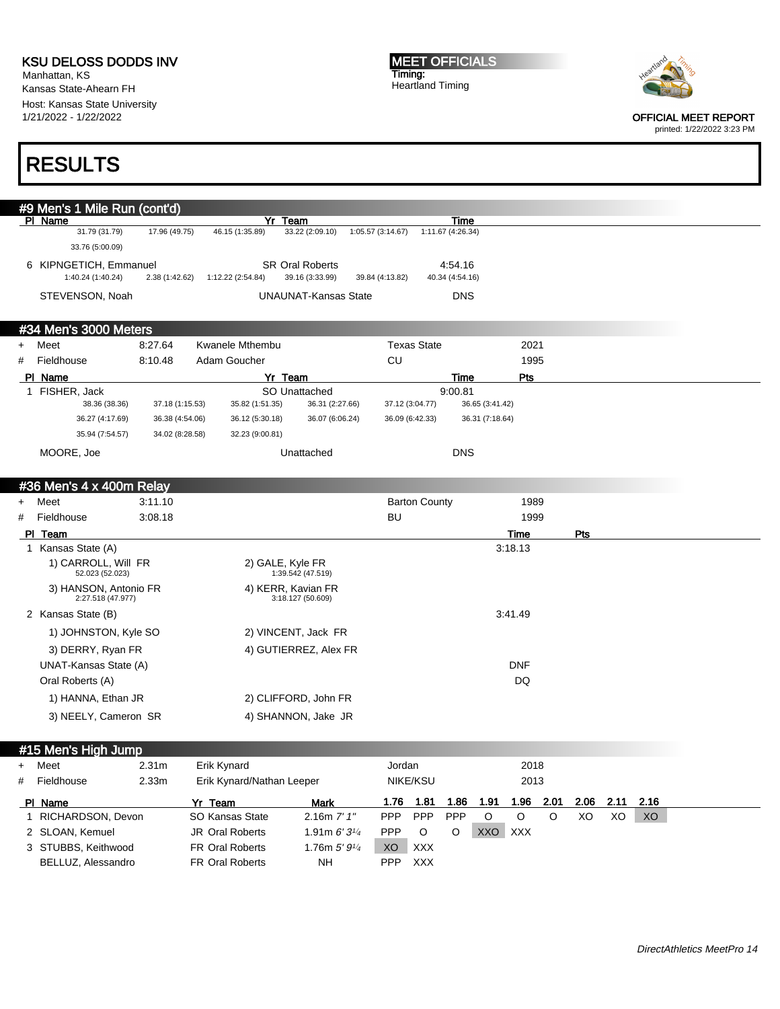Manhattan, KS Kansas State-Ahearn FH Host: Kansas State University 1/21/2022 - 1/22/2022

MEET OFFICIALS Timing: Heartland Timing



OFFICIAL MEET REPORT printed: 1/22/2022 3:23 PM

# RESULTS

|                | #9 Men's 1 Mile Run (cont'd)  |                 |                           |                            |                    |                           |                 |                 |      |      |      |      |  |
|----------------|-------------------------------|-----------------|---------------------------|----------------------------|--------------------|---------------------------|-----------------|-----------------|------|------|------|------|--|
|                | PI Name<br>31.79 (31.79)      | 17.96 (49.75)   | 46.15 (1:35.89)           | Yr Team<br>33.22 (2:09.10) | 1:05.57 (3:14.67)  | Time<br>1:11.67 (4:26.34) |                 |                 |      |      |      |      |  |
|                | 33.76 (5:00.09)               |                 |                           |                            |                    |                           |                 |                 |      |      |      |      |  |
|                | 6 KIPNGETICH, Emmanuel        |                 |                           | <b>SR Oral Roberts</b>     |                    | 4:54.16                   |                 |                 |      |      |      |      |  |
|                | 1:40.24 (1:40.24)             | 2.38 (1:42.62)  | 1:12.22 (2:54.84)         | 39.16 (3:33.99)            | 39.84 (4:13.82)    | 40.34 (4:54.16)           |                 |                 |      |      |      |      |  |
|                | STEVENSON, Noah               |                 |                           | UNAUNAT-Kansas State       |                    | <b>DNS</b>                |                 |                 |      |      |      |      |  |
|                |                               |                 |                           |                            |                    |                           |                 |                 |      |      |      |      |  |
|                | #34 Men's 3000 Meters         |                 |                           |                            |                    |                           |                 |                 |      |      |      |      |  |
| $\ddot{}$      | Meet                          | 8:27.64         | <b>Kwanele Mthembu</b>    |                            | <b>Texas State</b> |                           |                 | 2021            |      |      |      |      |  |
| #              | Fieldhouse                    | 8:10.48         | Adam Goucher              |                            | CU                 |                           |                 | 1995            |      |      |      |      |  |
|                | PI Name                       |                 |                           | Yr Team                    |                    | Time                      |                 | Pts             |      |      |      |      |  |
|                | 1 FISHER, Jack                |                 |                           | SO Unattached              |                    | 9:00.81                   |                 |                 |      |      |      |      |  |
|                | 38.36 (38.36)                 | 37.18 (1:15.53) | 35.82 (1:51.35)           | 36.31 (2:27.66)            | 37.12 (3:04.77)    |                           | 36.65 (3:41.42) |                 |      |      |      |      |  |
|                | 36.27 (4:17.69)               | 36.38 (4:54.06) | 36.12 (5:30.18)           | 36.07 (6:06.24)            | 36.09 (6:42.33)    |                           | 36.31 (7:18.64) |                 |      |      |      |      |  |
|                | 35.94 (7:54.57)               | 34.02 (8:28.58) | 32.23 (9:00.81)           |                            |                    |                           |                 |                 |      |      |      |      |  |
|                | MOORE, Joe                    |                 |                           | Unattached                 |                    | <b>DNS</b>                |                 |                 |      |      |      |      |  |
|                |                               |                 |                           |                            |                    |                           |                 |                 |      |      |      |      |  |
|                | #36 Men's 4 x 400m Relay      |                 |                           |                            |                    |                           |                 |                 |      |      |      |      |  |
|                | Meet                          |                 |                           |                            |                    | <b>Barton County</b>      |                 |                 |      |      |      |      |  |
| $\ddot{}$<br># |                               | 3:11.10         |                           |                            | BU                 |                           |                 | 1989            |      |      |      |      |  |
|                | Fieldhouse                    | 3:08.18         |                           |                            |                    |                           |                 | 1999            |      |      |      |      |  |
|                | PI Team<br>1 Kansas State (A) |                 |                           |                            |                    |                           |                 | Time<br>3:18.13 |      | Pts  |      |      |  |
|                | 1) CARROLL, Will FR           |                 |                           | 2) GALE, Kyle FR           |                    |                           |                 |                 |      |      |      |      |  |
|                | 52.023 (52.023)               |                 |                           | 1:39.542 (47.519)          |                    |                           |                 |                 |      |      |      |      |  |
|                | 3) HANSON, Antonio FR         |                 |                           | 4) KERR, Kavian FR         |                    |                           |                 |                 |      |      |      |      |  |
|                | 2:27.518 (47.977)             |                 |                           | 3:18.127 (50.609)          |                    |                           |                 |                 |      |      |      |      |  |
|                | 2 Kansas State (B)            |                 |                           |                            |                    |                           |                 | 3:41.49         |      |      |      |      |  |
|                | 1) JOHNSTON, Kyle SO          |                 |                           | 2) VINCENT, Jack FR        |                    |                           |                 |                 |      |      |      |      |  |
|                | 3) DERRY, Ryan FR             |                 |                           | 4) GUTIERREZ, Alex FR      |                    |                           |                 |                 |      |      |      |      |  |
|                | UNAT-Kansas State (A)         |                 |                           |                            |                    |                           |                 | <b>DNF</b>      |      |      |      |      |  |
|                | Oral Roberts (A)              |                 |                           |                            |                    |                           |                 | DQ              |      |      |      |      |  |
|                | 1) HANNA, Ethan JR            |                 |                           | 2) CLIFFORD, John FR       |                    |                           |                 |                 |      |      |      |      |  |
|                | 3) NEELY, Cameron SR          |                 |                           | 4) SHANNON, Jake JR        |                    |                           |                 |                 |      |      |      |      |  |
|                |                               |                 |                           |                            |                    |                           |                 |                 |      |      |      |      |  |
|                | #15 Men's High Jump           |                 |                           |                            |                    |                           |                 |                 |      |      |      |      |  |
| $\ddot{}$      | Meet                          | 2.31m           | Erik Kynard               |                            | Jordan             |                           |                 | 2018            |      |      |      |      |  |
|                |                               |                 | Erik Kynard/Nathan Leeper |                            | NIKE/KSU           |                           |                 | 2013            |      |      |      |      |  |
| #              | Fieldhouse                    | 2.33m           |                           |                            |                    |                           |                 |                 |      |      |      |      |  |
|                | PI Name                       |                 | Yr Team                   | <b>Mark</b>                | 1.76 1.81          | 1.86                      | 1.91            | 1.96            | 2.01 | 2.06 | 2.11 | 2.16 |  |
|                | 1 RICHARDSON, Devon           |                 | SO Kansas State           | 2.16m 7' 1"                | <b>PPP</b>         | PPP<br>PPP                | $\circ$         | O               | O    | XO   | XO   | XO   |  |
|                | 2 SLOAN, Kemuel               |                 | JR Oral Roberts           | 1.91m $6'3\frac{1}{4}$     | <b>PPP</b>         | O<br>O                    | XXO XXX         |                 |      |      |      |      |  |
|                | 3 STUBBS, Keithwood           |                 | FR Oral Roberts           | 1.76m 5' 91/4              | XO                 | XXX                       |                 |                 |      |      |      |      |  |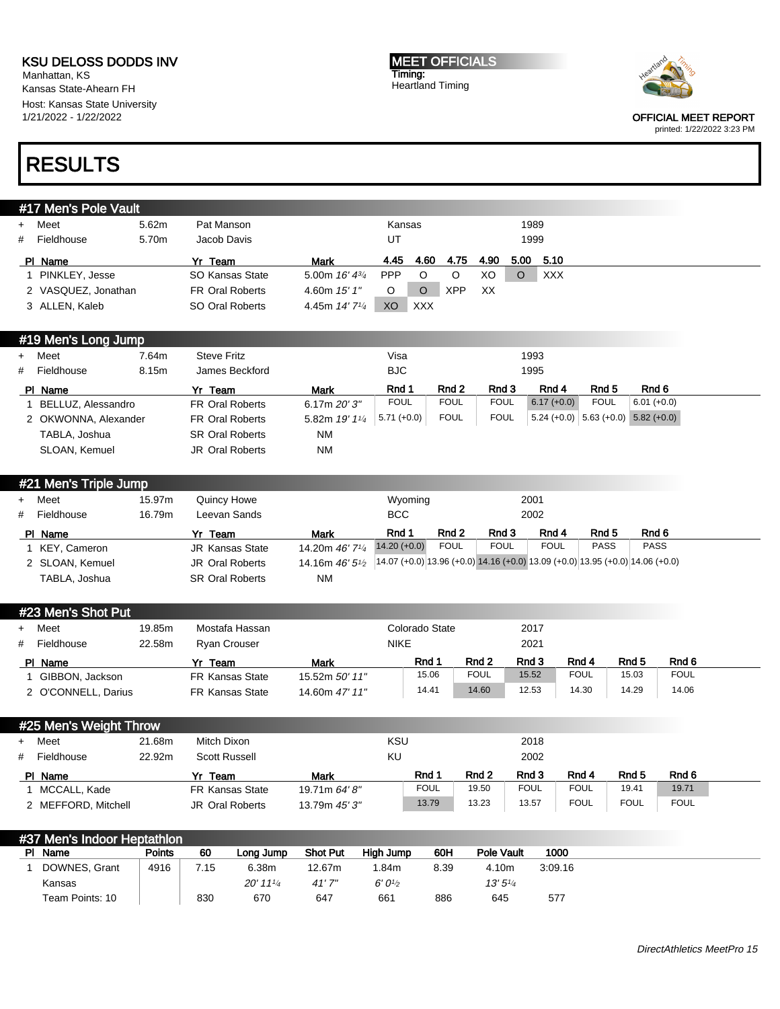Manhattan, KS Kansas State-Ahearn FH Host: Kansas State University 1/21/2022 - 1/22/2022

# RESULTS

| #17 Men's Pole Vault |  |  |
|----------------------|--|--|
|                      |  |  |

|   | Meet                | 5.62m | Pat Manson             |                            | Kansas     |            |      |      | 1989 |            |  |
|---|---------------------|-------|------------------------|----------------------------|------------|------------|------|------|------|------------|--|
| # | Fieldhouse          | 5.70m | Jacob Davis            |                            | UT         |            |      |      | 1999 |            |  |
|   | PI Name             |       | Yr Team                | <b>Mark</b>                | 4.45       | 4.60       | 4.75 | 4.90 | 5.00 | -5.10      |  |
|   | PINKLEY, Jesse      |       | SO Kansas State        | 5.00m $16' 4^{3/4}$        | <b>PPP</b> |            |      | XO   |      | <b>XXX</b> |  |
|   | 2 VASQUEZ, Jonathan |       | <b>FR Oral Roberts</b> | 4.60m $15'1''$             |            |            | XPP  | XX   |      |            |  |
|   | 3 ALLEN, Kaleb      |       | SO Oral Roberts        | 4.45m 14' 7 <sup>1/4</sup> | XO         | <b>XXX</b> |      |      |      |            |  |

#### #19 Men's Long Jump

|   | + Meet               | 7.64m | <b>Steve Fritz</b>     |                | Visa          |             |             | 1993          |             |                                       |
|---|----------------------|-------|------------------------|----------------|---------------|-------------|-------------|---------------|-------------|---------------------------------------|
| # | Fieldhouse           | 8.15m | James Beckford         |                | BJC.          |             |             | 1995          |             |                                       |
|   | PI Name              |       | Yr Team                | <b>Mark</b>    | Rnd 1         | Rnd 2       | Rnd 3       | Rnd 4         | Rnd 5       | Rnd 6                                 |
|   | BELLUZ, Alessandro   |       | <b>FR Oral Roberts</b> | 6.17m $20'3''$ | <b>FOUL</b>   | <b>FOUL</b> | <b>FOUL</b> | $6.17 (+0.0)$ | <b>FOUL</b> | $6.01 (+0.0)$                         |
|   | 2 OKWONNA, Alexander |       | <b>FR Oral Roberts</b> | 5.82m 19' 11/4 | $5.71 (+0.0)$ | <b>FOUL</b> | <b>FOUL</b> |               |             | $5.24 (+0.0)$ 5.63 (+0.0) 5.82 (+0.0) |
|   | TABLA, Joshua        |       | <b>SR Oral Roberts</b> | <b>NM</b>      |               |             |             |               |             |                                       |
|   | SLOAN, Kemuel        |       | <b>JR Oral Roberts</b> | <b>NM</b>      |               |             |             |               |             |                                       |

|   | #21 Men's Triple Jump |        |                        |                             |                                                                                  |             |             |             |             |             |
|---|-----------------------|--------|------------------------|-----------------------------|----------------------------------------------------------------------------------|-------------|-------------|-------------|-------------|-------------|
|   | + Meet                | 15.97m | Quincy Howe            |                             | Wyoming                                                                          |             |             | 2001        |             |             |
| # | Fieldhouse            | 16.79m | Leevan Sands           |                             | <b>BCC</b>                                                                       |             |             | 2002        |             |             |
|   | PI Name               |        | Yr Team                | <b>Mark</b>                 | Rnd 1                                                                            | Rnd 2       | Rnd 3       | Rnd 4       | Rnd 5       | Rnd 6       |
|   | KEY, Cameron          |        | <b>JR Kansas State</b> | 14.20m 46' 7 <sup>1/4</sup> | $14.20 (+0.0)$                                                                   | <b>FOUL</b> | <b>FOUL</b> | <b>FOUL</b> | <b>PASS</b> | <b>PASS</b> |
|   | 2 SLOAN, Kemuel       |        | <b>JR Oral Roberts</b> | 14.16m $46'5\frac{1}{2}$    | $(14.07 (+0.0) 13.96 (+0.0) 14.16 (+0.0) 13.09 (+0.0) 13.95 (+0.0) 14.06 (+0.0)$ |             |             |             |             |             |
|   | TABLA, Joshua         |        | <b>SR Oral Roberts</b> | <b>NM</b>                   |                                                                                  |             |             |             |             |             |

#### #23 Men's Shot Put

| Meet<br>$+$<br># | Fieldhouse          | 19.85m<br>22.58m | Mostafa Hassan<br><b>Ryan Crouser</b> |                | Colorado State<br><b>NIKE</b> |                  | 2017<br>2021 |             |                  |             |
|------------------|---------------------|------------------|---------------------------------------|----------------|-------------------------------|------------------|--------------|-------------|------------------|-------------|
| PI Name          |                     |                  | Yr<br>Team                            | Mark           | Rnd 1                         | Rnd <sub>2</sub> | Rnd 3        | Rnd 4       | Rnd <sub>5</sub> | Rnd 6       |
|                  | GIBBON, Jackson     |                  | <b>FR Kansas State</b>                | 15.52m 50' 11" | 15.06                         | <b>FOUL</b>      | 15.52        | <b>FOUL</b> | 15.03            | <b>FOUL</b> |
|                  | 2 O'CONNELL, Darius |                  | <b>FR Kansas State</b>                | 14.60m 47' 11" | 14.41                         | 14.60            | 12.53        | 14.30       | 14.29            | 14.06       |

### #25 Men's Weight Throw

|              | 21.68m                                                 | Mitch Dixon            |               | KSU |             |       | 2018        |             |                  |             |
|--------------|--------------------------------------------------------|------------------------|---------------|-----|-------------|-------|-------------|-------------|------------------|-------------|
|              | 22.92m                                                 | <b>Scott Russell</b>   |               | KU  |             |       | 2002        |             |                  |             |
|              |                                                        | Yr Team                | Mark          |     | Rnd 1       | Rnd 2 | Rnd 3       | Rnd 4       | Rnd <sub>5</sub> | Rnd 6       |
| MCCALL, Kade |                                                        | <b>FR Kansas State</b> | 19.71m 64' 8" |     | <b>FOUL</b> | 19.50 | <b>FOUL</b> | <b>FOUL</b> | 19.41            | 19.71       |
|              |                                                        | JR Oral Roberts        | 13.79m 45' 3" |     | 13.79       | 13.23 | 13.57       | <b>FOUL</b> | <b>FOUL</b>      | <b>FOUL</b> |
|              | Meet<br># Fieldhouse<br>PI Name<br>2 MEFFORD, Mitchell |                        |               |     |             |       |             |             |                  |             |

#### **#37 Men's Indoor Heptathlon**<br>Pl Name **Points** 60 Long Jump Shot Put High Jump 60H Pole Vault 1000 1 DOWNES, Grant Kansas Team Points: 10 4916 7.15 830 6.38m 20' 11<sup>1</sup>/<sup>4</sup> 670 12.67m 41' 7" 647 1.84m  $6' 0'<sub>2</sub>$ 661 8.39 886 4.10m 13' 5<sup>1</sup>/<sup>4</sup> 645 3:09.16 577

MEET OFFICIALS Timing: Heartland Timing



OFFICIAL MEET REPORT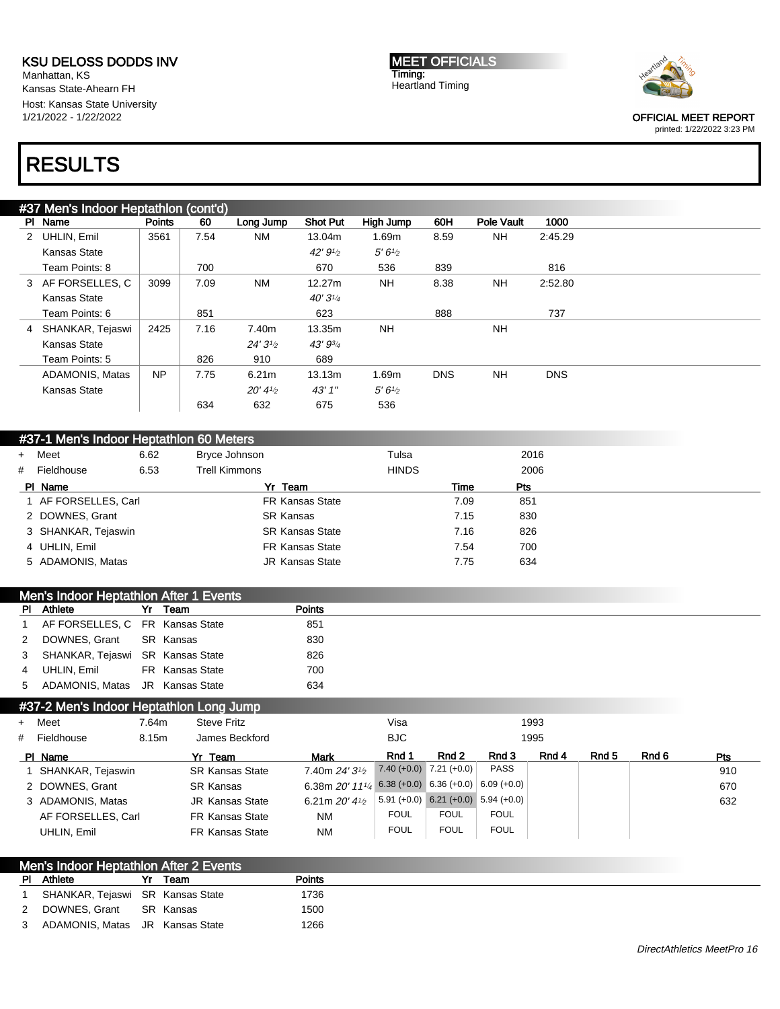Manhattan, KS Kansas State-Ahearn FH Host: Kansas State University 1/21/2022 - 1/22/2022

#### MEET OFFICIALS Timing: Heartland Timing



OFFICIAL MEET REPORT

#### printed: 1/22/2022 3:23 PM

# RESULTS

|   | #37 Men's Indoor Heptathlon (cont'd) |               |      |                    |                     |                    |            |            |            |  |
|---|--------------------------------------|---------------|------|--------------------|---------------------|--------------------|------------|------------|------------|--|
|   | PI Name                              | <b>Points</b> | 60   | Long Jump          | <b>Shot Put</b>     | High Jump          | 60H        | Pole Vault | 1000       |  |
| 2 | UHLIN, Emil                          | 3561          | 7.54 | <b>NM</b>          | 13.04m              | 1.69m              | 8.59       | NH.        | 2:45.29    |  |
|   | Kansas State                         |               |      |                    | $42' 91_2$          | 5'6'' <sub>2</sub> |            |            |            |  |
|   | Team Points: 8                       |               | 700  |                    | 670                 | 536                | 839        |            | 816        |  |
|   | 3 AF FORSELLES, C                    | 3099          | 7.09 | <b>NM</b>          | 12.27m              | NH.                | 8.38       | <b>NH</b>  | 2:52.80    |  |
|   | Kansas State                         |               |      |                    | 40'3'' <sub>4</sub> |                    |            |            |            |  |
|   | Team Points: 6                       |               | 851  |                    | 623                 |                    | 888        |            | 737        |  |
| 4 | SHANKAR, Tejaswi                     | 2425          | 7.16 | 7.40m              | 13.35m              | NH.                |            | <b>NH</b>  |            |  |
|   | Kansas State                         |               |      | 24'3''             | 43' 93/4            |                    |            |            |            |  |
|   | Team Points: 5                       |               | 826  | 910                | 689                 |                    |            |            |            |  |
|   | <b>ADAMONIS, Matas</b>               | <b>NP</b>     | 7.75 | 6.21 <sub>m</sub>  | 13.13m              | 1.69m              | <b>DNS</b> | <b>NH</b>  | <b>DNS</b> |  |
|   | Kansas State                         |               |      | $20' 4\frac{1}{2}$ | 43'1''              | 5'6'' <sub>2</sub> |            |            |            |  |
|   |                                      |               | 634  | 632                | 675                 | 536                |            |            |            |  |

| #37-1 Men's Indoor Heptathlon 60 Meters |      |                        |              |      |  |
|-----------------------------------------|------|------------------------|--------------|------|--|
| + Meet                                  | 6.62 | Bryce Johnson          | Tulsa        | 2016 |  |
| # Fieldhouse                            | 6.53 | Trell Kimmons          | <b>HINDS</b> | 2006 |  |
| PI Name                                 |      | Yr Team                | Time         | Pts  |  |
| 1 AF FORSELLES, Carl                    |      | <b>FR Kansas State</b> | 7.09         | 851  |  |
| 2 DOWNES, Grant                         |      | <b>SR Kansas</b>       | 7.15         | 830  |  |
| 3 SHANKAR, Tejaswin                     |      | <b>SR Kansas State</b> | 7.16         | 826  |  |
| 4 UHLIN, Emil                           |      | <b>FR Kansas State</b> | 7.54         | 700  |  |
| 5 ADAMONIS, Matas                       |      | <b>JR Kansas State</b> | 7.75         | 634  |  |

|                | Men's Indoor Heptathlon After 1 Events |                 |               |
|----------------|----------------------------------------|-----------------|---------------|
|                | <b>PI</b> Athlete                      | Yr Team         | <b>Points</b> |
|                | 1 AF FORSELLES, C FR Kansas State      |                 | 851           |
|                | 2 DOWNES, Grant                        | SR Kansas       | 830           |
|                | 3 SHANKAR, Tejaswi SR Kansas State     |                 | 826           |
| $\overline{4}$ | UHLIN. Emil                            | FR Kansas State | 700           |
|                | 5 ADAMONIS Matas JR Kansas State       |                 | 634           |

### #37-2 Men's Indoor Heptathlon Long Jump

| + Meet             | 7.64m | <b>Steve Fritz</b>     |                                                                    | Visa        |                                       |              | 1993  |       |       |            |
|--------------------|-------|------------------------|--------------------------------------------------------------------|-------------|---------------------------------------|--------------|-------|-------|-------|------------|
| # Fieldhouse       | 8.15m | James Beckford         |                                                                    | <b>BJC</b>  |                                       |              | 1995  |       |       |            |
| PI Name            |       | Yr Team                | <b>Mark</b>                                                        | Rnd 1       | Rnd 2                                 | Rnd 3        | Rnd 4 | Rnd 5 | Rnd 6 | <b>Pts</b> |
| SHANKAR, Tejaswin  |       | <b>SR Kansas State</b> | 7.40m $24'31/2$                                                    |             | $7.40 (+0.0)$ $7.21 (+0.0)$           | <b>PASS</b>  |       |       |       | 910        |
| 2 DOWNES, Grant    |       | <b>SR Kansas</b>       | 6.38m $20'$ 11 <sup>1</sup> / <sub>4</sub> 6.38 (+0.0) 6.36 (+0.0) |             |                                       | $6.09(+0.0)$ |       |       |       | 670        |
| 3 ADAMONIS, Matas  |       | <b>JR Kansas State</b> | 6.21m $20'$ 4 $\frac{1}{2}$                                        |             | $5.91 (+0.0)$ 6.21 (+0.0) 5.94 (+0.0) |              |       |       |       | 632        |
| AF FORSELLES, Carl |       | <b>FR Kansas State</b> | <b>NM</b>                                                          | <b>FOUL</b> | <b>FOUL</b>                           | <b>FOUL</b>  |       |       |       |            |
| UHLIN, Emil        |       | <b>FR Kansas State</b> | <b>NM</b>                                                          | <b>FOUL</b> | <b>FOUL</b>                           | <b>FOUL</b>  |       |       |       |            |

| <b>Men's Indoor Heptathlon After 2 Events</b> |      |               |  |
|-----------------------------------------------|------|---------------|--|
| <b>PI</b> Athlete                             | Team | <b>Points</b> |  |
| SHANKAR, Tejaswi SR Kansas State              |      | 1736          |  |
| 2 DOWNES Grant SR Kansas                      |      | 1500          |  |
| 3 ADAMONIS, Matas JR Kansas State             |      | 1266          |  |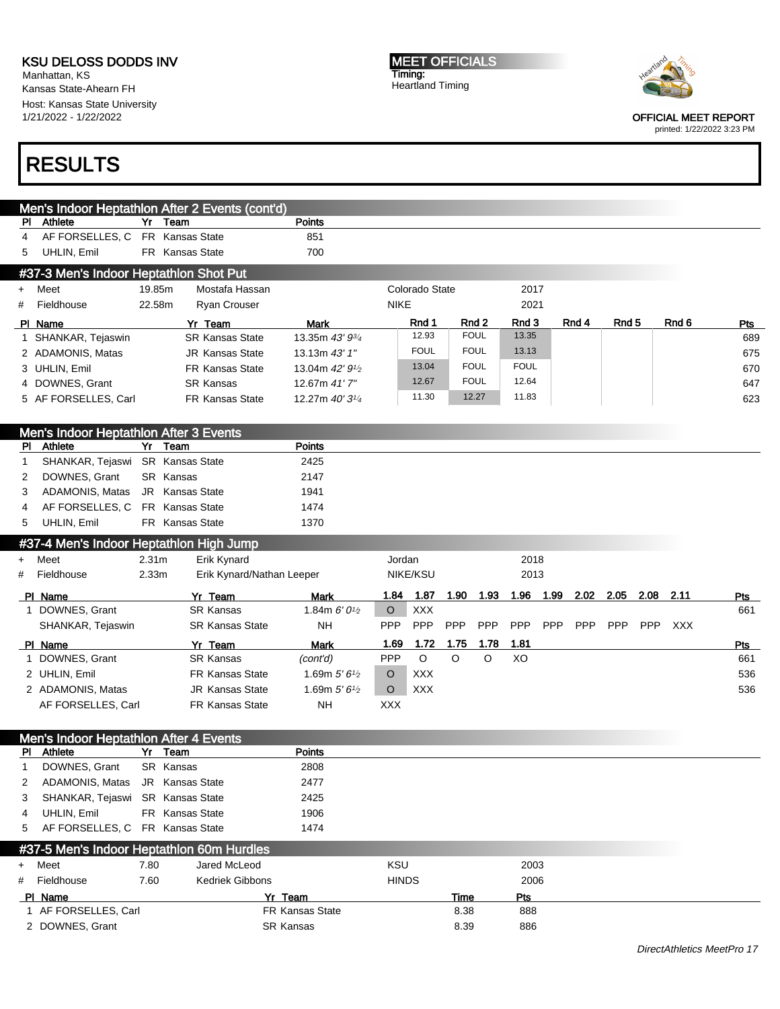Men's Indoor Heptathlon After 2 Events (cont'd)

Manhattan, KS Kansas State-Ahearn FH Host: Kansas State University 1/21/2022 - 1/22/2022

# RESULTS

MEET OFFICIALS Timing: Heartland Timing



OFFICIAL MEET REPORT

| PI        | Athlete                                           | Yr                | Team                                      | <b>Points</b>                            |              |                |            |             |             |            |            |            |             |       |     |
|-----------|---------------------------------------------------|-------------------|-------------------------------------------|------------------------------------------|--------------|----------------|------------|-------------|-------------|------------|------------|------------|-------------|-------|-----|
| 4         | AF FORSELLES, C                                   |                   | FR Kansas State                           | 851                                      |              |                |            |             |             |            |            |            |             |       |     |
| 5         | UHLIN, Emil                                       |                   | FR Kansas State                           | 700                                      |              |                |            |             |             |            |            |            |             |       |     |
|           | #37-3 Men's Indoor Heptathlon Shot Put            |                   |                                           |                                          |              |                |            |             |             |            |            |            |             |       |     |
| $\ddot{}$ | Meet                                              | 19.85m            | Mostafa Hassan                            |                                          |              | Colorado State |            |             | 2017        |            |            |            |             |       |     |
| #         | Fieldhouse                                        | 22.58m            | Ryan Crouser                              |                                          | <b>NIKE</b>  |                |            |             | 2021        |            |            |            |             |       |     |
|           |                                                   |                   | Yr Team                                   | <b>Mark</b>                              |              | Rnd 1          |            | Rnd 2       | Rnd 3       |            | Rnd 4      | Rnd 5      |             | Rnd 6 | Pts |
|           | PI Name<br>1 SHANKAR, Tejaswin                    |                   | <b>SR Kansas State</b>                    | 13.35m 43' 93/4                          |              | 12.93          |            | <b>FOUL</b> | 13.35       |            |            |            |             |       | 689 |
|           | 2 ADAMONIS, Matas                                 |                   | <b>JR Kansas State</b>                    | 13.13m 43' 1"                            |              | <b>FOUL</b>    |            | <b>FOUL</b> | 13.13       |            |            |            |             |       | 675 |
|           | 3 UHLIN, Emil                                     |                   | <b>FR Kansas State</b>                    | 13.04m 42' 9 <sup>1</sup> / <sub>2</sub> |              | 13.04          |            | <b>FOUL</b> | <b>FOUL</b> |            |            |            |             |       | 670 |
|           | 4 DOWNES, Grant                                   |                   | <b>SR Kansas</b>                          | 12.67m 41'7"                             |              | 12.67          |            | <b>FOUL</b> | 12.64       |            |            |            |             |       | 647 |
|           |                                                   |                   | FR Kansas State                           |                                          |              | 11.30          |            | 12.27       | 11.83       |            |            |            |             |       |     |
|           | 5 AF FORSELLES, Carl                              |                   |                                           | 12.27m 40' 3 <sup>1/4</sup>              |              |                |            |             |             |            |            |            |             |       | 623 |
|           |                                                   |                   |                                           |                                          |              |                |            |             |             |            |            |            |             |       |     |
| <b>PI</b> | Men's Indoor Heptathlon After 3 Events<br>Athlete |                   | Yr Team                                   | <b>Points</b>                            |              |                |            |             |             |            |            |            |             |       |     |
| 1         | SHANKAR, Tejaswi SR Kansas State                  |                   |                                           | 2425                                     |              |                |            |             |             |            |            |            |             |       |     |
| 2         | DOWNES, Grant                                     |                   | SR Kansas                                 | 2147                                     |              |                |            |             |             |            |            |            |             |       |     |
| 3         | ADAMONIS, Matas                                   |                   | JR Kansas State                           | 1941                                     |              |                |            |             |             |            |            |            |             |       |     |
| 4         | AF FORSELLES, C                                   |                   | FR Kansas State                           | 1474                                     |              |                |            |             |             |            |            |            |             |       |     |
|           | UHLIN, Emil                                       |                   |                                           |                                          |              |                |            |             |             |            |            |            |             |       |     |
| 5         |                                                   |                   | FR Kansas State                           | 1370                                     |              |                |            |             |             |            |            |            |             |       |     |
|           | #37-4 Men's Indoor Heptathlon High Jump           |                   |                                           |                                          |              |                |            |             |             |            |            |            |             |       |     |
| $\ddot{}$ | Meet                                              | 2.31 <sub>m</sub> | Erik Kynard                               |                                          | Jordan       |                |            |             | 2018        |            |            |            |             |       |     |
| #         | Fieldhouse                                        | 2.33m             | Erik Kynard/Nathan Leeper                 |                                          |              | NIKE/KSU       |            |             | 2013        |            |            |            |             |       |     |
|           | PI Name                                           |                   | Yr Team                                   | Mark                                     | 1.84         | 1.87           | 1.90       | 1.93        |             | 1.96 1.99  | 2.02       | 2.05       | $2.08$ 2.11 |       | Pts |
|           |                                                   |                   |                                           |                                          |              |                |            |             |             |            |            |            |             |       |     |
|           | 1 DOWNES, Grant                                   |                   | <b>SR Kansas</b>                          | 1.84m $6'0\frac{1}{2}$                   | O            | <b>XXX</b>     |            |             |             |            |            |            |             |       | 661 |
|           | SHANKAR, Tejaswin                                 |                   | <b>SR Kansas State</b>                    | NΗ                                       | <b>PPP</b>   | PPP            | <b>PPP</b> | PPP         | <b>PPP</b>  | <b>PPP</b> | <b>PPP</b> | <b>PPP</b> | <b>PPP</b>  | XXX   |     |
|           | PI Name                                           |                   | Yr Team                                   | <b>Mark</b>                              | 1.69         | 1.72           | 1.75       | 1.78        | 1.81        |            |            |            |             |       | Pts |
| 1.        | DOWNES, Grant                                     |                   | <b>SR Kansas</b>                          | (cont'd)                                 | PPP          | $\circ$        | $\circ$    | $\circ$     | XO          |            |            |            |             |       | 661 |
|           | 2 UHLIN, Emil                                     |                   | <b>FR Kansas State</b>                    | 1.69m $5'6'$                             | O            | <b>XXX</b>     |            |             |             |            |            |            |             |       | 536 |
|           | 2 ADAMONIS, Matas                                 |                   | <b>JR Kansas State</b>                    | 1.69m $5'6'$                             | $\circ$      | <b>XXX</b>     |            |             |             |            |            |            |             |       | 536 |
|           | AF FORSELLES, Carl                                |                   | <b>FR Kansas State</b>                    | <b>NH</b>                                | <b>XXX</b>   |                |            |             |             |            |            |            |             |       |     |
|           |                                                   |                   |                                           |                                          |              |                |            |             |             |            |            |            |             |       |     |
|           |                                                   |                   |                                           |                                          |              |                |            |             |             |            |            |            |             |       |     |
| PL.       | Men's Indoor Heptathlon After 4 Events<br>Athlete | Yr                | Team                                      | <b>Points</b>                            |              |                |            |             |             |            |            |            |             |       |     |
| 1         | DOWNES, Grant                                     |                   | SR Kansas                                 | 2808                                     |              |                |            |             |             |            |            |            |             |       |     |
| 2         | ADAMONIS, Matas                                   |                   | JR Kansas State                           | 2477                                     |              |                |            |             |             |            |            |            |             |       |     |
| 3         | SHANKAR, Tejaswi SR Kansas State                  |                   |                                           | 2425                                     |              |                |            |             |             |            |            |            |             |       |     |
| 4         | UHLIN, Emil                                       |                   | FR Kansas State                           | 1906                                     |              |                |            |             |             |            |            |            |             |       |     |
| 5         | AF FORSELLES, C FR Kansas State                   |                   |                                           | 1474                                     |              |                |            |             |             |            |            |            |             |       |     |
|           |                                                   |                   |                                           |                                          |              |                |            |             |             |            |            |            |             |       |     |
|           |                                                   |                   | #37-5 Men's Indoor Heptathlon 60m Hurdles |                                          |              |                |            |             |             |            |            |            |             |       |     |
| $\ddot{}$ | Meet                                              | 7.80              | Jared McLeod                              |                                          | KSU          |                |            |             | 2003        |            |            |            |             |       |     |
| #         | Fieldhouse                                        | 7.60              | <b>Kedriek Gibbons</b>                    |                                          | <b>HINDS</b> |                |            |             | 2006        |            |            |            |             |       |     |
|           | PI Name                                           |                   |                                           | Yr Team                                  |              |                | Time       |             | Pts         |            |            |            |             |       |     |
|           | 1 AF FORSELLES, Carl                              |                   |                                           | FR Kansas State                          |              |                | 8.38       |             | 888         |            |            |            |             |       |     |
|           | 2 DOWNES, Grant                                   |                   |                                           | <b>SR Kansas</b>                         |              |                | 8.39       |             | 886         |            |            |            |             |       |     |